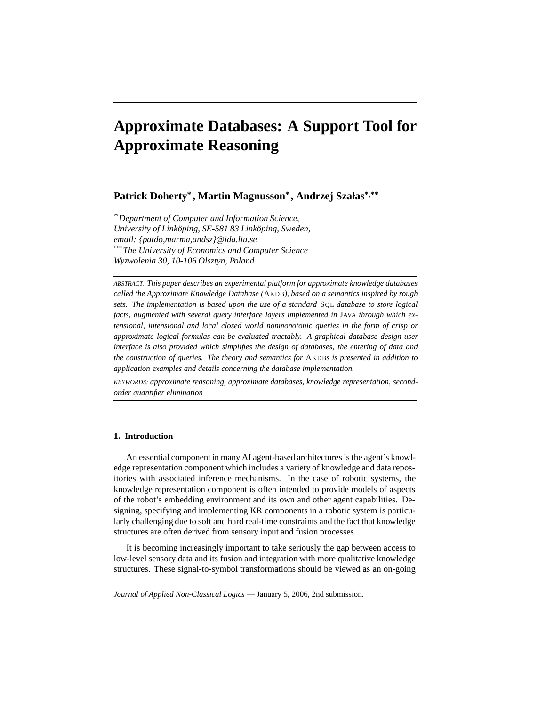# **Approximate Databases: A Support Tool for Approximate Reasoning**

**Patrick Doherty\* , Martin Magnusson\* , Andrzej Szałas\*,\*\***

*\* Department of Computer and Information Science, University of Linköping, SE-581 83 Linköping, Sweden, email: {patdo,marma,andsz}@ida.liu.se \*\* The University of Economics and Computer Science Wyzwolenia 30, 10-106 Olsztyn, Poland*

*ABSTRACT. This paper describes an experimental platform for approximate knowledge databases called the Approximate Knowledge Database (*AKDB*), based on a semantics inspired by rough sets. The implementation is based upon the use of a standard* SQL *database to store logical facts, augmented with several query interface layers implemented in* JAVA *through which extensional, intensional and local closed world nonmonotonic queries in the form of crisp or approximate logical formulas can be evaluated tractably. A graphical database design user interface is also provided which simplifies the design of databases, the entering of data and the construction of queries. The theory and semantics for* AKDB*s is presented in addition to application examples and details concerning the database implementation.*

*KEYWORDS: approximate reasoning, approximate databases, knowledge representation, secondorder quantifier elimination*

# **1. Introduction**

An essential component in many AI agent-based architectures is the agent's knowledge representation component which includes a variety of knowledge and data repositories with associated inference mechanisms. In the case of robotic systems, the knowledge representation component is often intended to provide models of aspects of the robot's embedding environment and its own and other agent capabilities. Designing, specifying and implementing KR components in a robotic system is particularly challenging due to soft and hard real-time constraints and the fact that knowledge structures are often derived from sensory input and fusion processes.

It is becoming increasingly important to take seriously the gap between access to low-level sensory data and its fusion and integration with more qualitative knowledge structures. These signal-to-symbol transformations should be viewed as an on-going

*Journal of Applied Non-Classical Logics* — January 5, 2006, 2nd submission.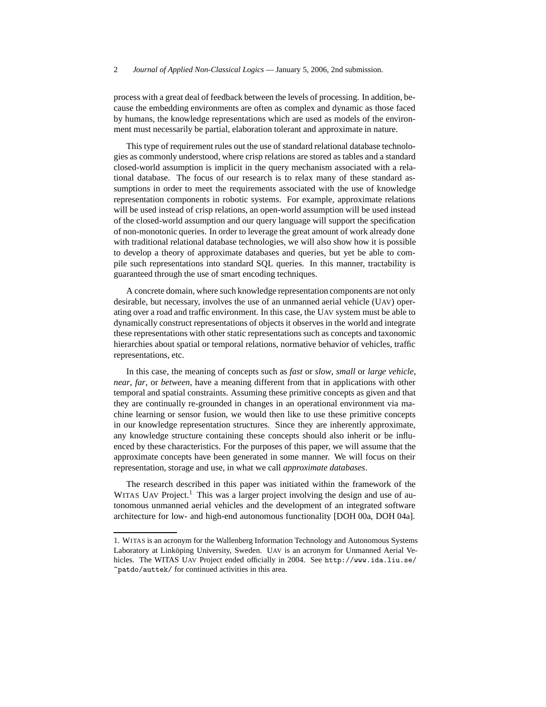## 2 *Journal of Applied Non-Classical Logics* — January 5, 2006, 2nd submission.

process with a great deal of feedback between the levels of processing. In addition, because the embedding environments are often as complex and dynamic as those faced by humans, the knowledge representations which are used as models of the environment must necessarily be partial, elaboration tolerant and approximate in nature.

This type of requirement rules out the use of standard relational database technologies as commonly understood, where crisp relations are stored as tables and a standard closed-world assumption is implicit in the query mechanism associated with a relational database. The focus of our research is to relax many of these standard assumptions in order to meet the requirements associated with the use of knowledge representation components in robotic systems. For example, approximate relations will be used instead of crisp relations, an open-world assumption will be used instead of the closed-world assumption and our query language will support the specification of non-monotonic queries. In order to leverage the great amount of work already done with traditional relational database technologies, we will also show how it is possible to develop a theory of approximate databases and queries, but yet be able to compile such representations into standard SQL queries. In this manner, tractability is guaranteed through the use of smart encoding techniques.

A concrete domain, where such knowledge representation components are not only desirable, but necessary, involves the use of an unmanned aerial vehicle (UAV) operating over a road and traffic environment. In this case, the UAV system must be able to dynamically construct representations of objects it observes in the world and integrate these representations with other static representations such as concepts and taxonomic hierarchies about spatial or temporal relations, normative behavior of vehicles, traffic representations, etc.

In this case, the meaning of concepts such as *fast* or *slow*, *small* or *large vehicle*, *near*, *far*, or *between*, have a meaning different from that in applications with other temporal and spatial constraints. Assuming these primitive concepts as given and that they are continually re-grounded in changes in an operational environment via machine learning or sensor fusion, we would then like to use these primitive concepts in our knowledge representation structures. Since they are inherently approximate, any knowledge structure containing these concepts should also inherit or be influenced by these characteristics. For the purposes of this paper, we will assume that the approximate concepts have been generated in some manner. We will focus on their representation, storage and use, in what we call *approximate databases*.

The research described in this paper was initiated within the framework of the WITAS UAV Project.<sup>1</sup> This was a larger project involving the design and use of autonomous unmanned aerial vehicles and the development of an integrated software architecture for low- and high-end autonomous functionality [DOH 00a, DOH 04a].

<sup>1</sup>. WITAS is an acronym for the Wallenberg Information Technology and Autonomous Systems Laboratory at Linköping University, Sweden. UAV is an acronym for Unmanned Aerial Vehicles. The WITAS UAV Project ended officially in 2004. See http://www.ida.liu.se/ ~patdo/auttek/ for continued activities in this area.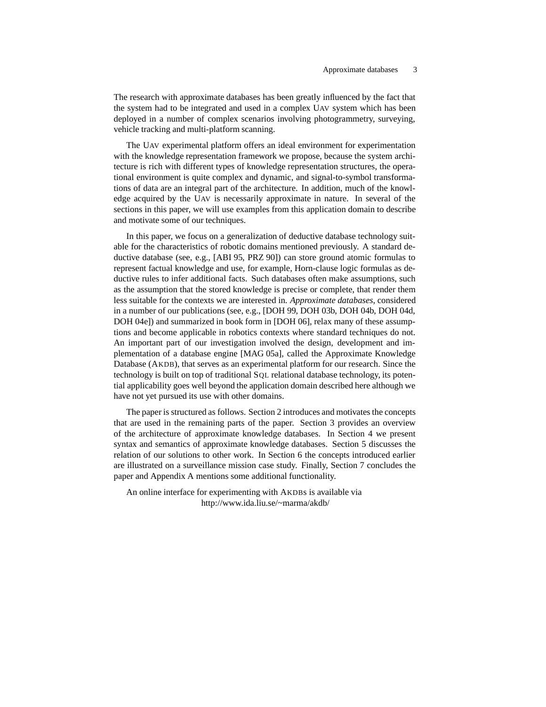The research with approximate databases has been greatly influenced by the fact that the system had to be integrated and used in a complex UAV system which has been deployed in a number of complex scenarios involving photogrammetry, surveying, vehicle tracking and multi-platform scanning.

The UAV experimental platform offers an ideal environment for experimentation with the knowledge representation framework we propose, because the system architecture is rich with different types of knowledge representation structures, the operational environment is quite complex and dynamic, and signal-to-symbol transformations of data are an integral part of the architecture. In addition, much of the knowledge acquired by the UAV is necessarily approximate in nature. In several of the sections in this paper, we will use examples from this application domain to describe and motivate some of our techniques.

In this paper, we focus on a generalization of deductive database technology suitable for the characteristics of robotic domains mentioned previously. A standard deductive database (see, e.g., [ABI 95, PRZ 90]) can store ground atomic formulas to represent factual knowledge and use, for example, Horn-clause logic formulas as deductive rules to infer additional facts. Such databases often make assumptions, such as the assumption that the stored knowledge is precise or complete, that render them less suitable for the contexts we are interested in. *Approximate databases*, considered in a number of our publications (see, e.g., [DOH 99, DOH 03b, DOH 04b, DOH 04d, DOH 04e]) and summarized in book form in [DOH 06], relax many of these assumptions and become applicable in robotics contexts where standard techniques do not. An important part of our investigation involved the design, development and implementation of a database engine [MAG 05a], called the Approximate Knowledge Database (AKDB), that serves as an experimental platform for our research. Since the technology is built on top of traditional SQL relational database technology, its potential applicability goes well beyond the application domain described here although we have not yet pursued its use with other domains.

The paper is structured as follows. Section 2 introduces and motivates the concepts that are used in the remaining parts of the paper. Section 3 provides an overview of the architecture of approximate knowledge databases. In Section 4 we present syntax and semantics of approximate knowledge databases. Section 5 discusses the relation of our solutions to other work. In Section 6 the concepts introduced earlier are illustrated on a surveillance mission case study. Finally, Section 7 concludes the paper and Appendix A mentions some additional functionality.

An online interface for experimenting with AKDBs is available via http://www.ida.liu.se/~marma/akdb/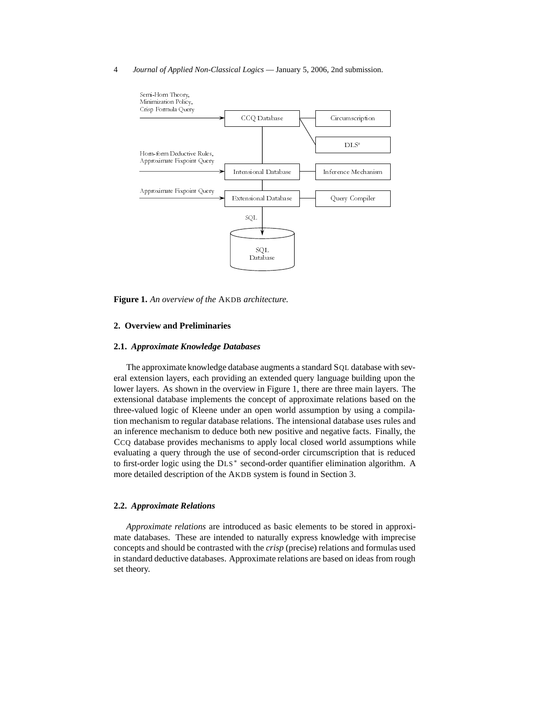# 4 *Journal of Applied Non-Classical Logics* — January 5, 2006, 2nd submission.



**Figure 1.** *An overview of the* AKDB *architecture.*

# **2. Overview and Preliminaries**

# **2.1.** *Approximate Knowledge Databases*

S<br>
Bat<br>
arch<br>
arch<br>
ases<br>
ases<br>
an o<br>
clati The approximate knowledge database augments a standard SQL database with several extension layers, each providing an extended query language building upon the lower layers. As shown in the overview in Figure 1, there are three main layers. The extensional database implements the concept of approximate relations based on the three-valued logic of Kleene under an open world assumption by using a compilation mechanism to regular database relations. The intensional database uses rules and an inference mechanism to deduce both new positive and negative facts. Finally, the CCQ database provides mechanisms to apply local closed world assumptions while evaluating a query through the use of second-order circumscription that is reduced to first-order logic using the DLS<sup>∗</sup> second-order quantifier elimination algorithm. A more detailed description of the AKDB system is found in Section 3.

# **2.2.** *Approximate Relations*

*Approximate relations* are introduced as basic elements to be stored in approximate databases. These are intended to naturally express knowledge with imprecise concepts and should be contrasted with the *crisp* (precise) relations and formulas used in standard deductive databases. Approximate relations are based on ideas from rough set theory.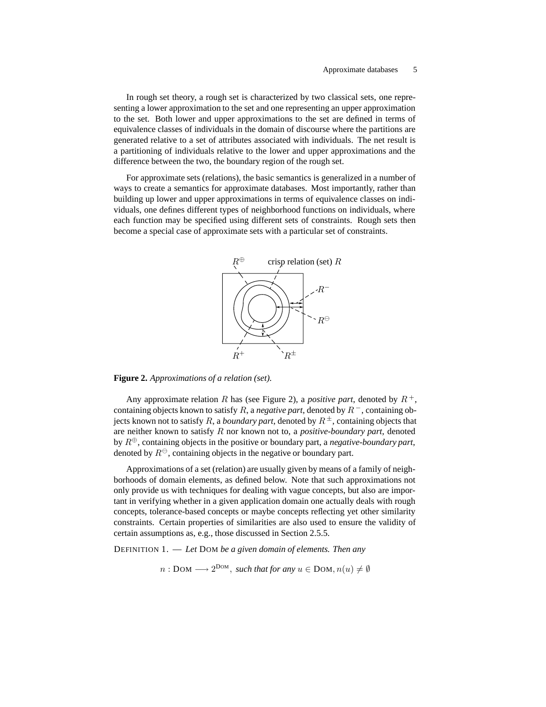In rough set theory, a rough set is characterized by two classical sets, one representing a lower approximation to the set and one representing an upper approximation to the set. Both lower and upper approximations to the set are defined in terms of equivalence classes of individuals in the domain of discourse where the partitions are generated relative to a set of attributes associated with individuals. The net result is a partitioning of individuals relative to the lower and upper approximations and the difference between the two, the boundary region of the rough set.

For approximate sets (relations), the basic semantics is generalized in a number of ways to create a semantics for approximate databases. Most importantly, rather than building up lower and upper approximations in terms of equivalence classes on individuals, one defines different types of neighborhood functions on individuals, where each function may be specified using different sets of constraints. Rough sets then become a special case of approximate sets with a particular set of constraints.



**Figure 2.** *Approximations of a relation (set).*

Any approximate relation R has (see Figure 2), a *positive part*, denoted by  $R^+$ , containing objects known to satisfy R, a *negative part*, denoted by  $R^-$ , containing objects known not to satisfy R, a *boundary part*, denoted by  $R^{\pm}$ , containing objects that are neither known to satisfy R nor known not to, a *positive-boundary part*, denoted by R⊕, containing objects in the positive or boundary part, a *negative-boundary part*, denoted by  $R^{\ominus}$ , containing objects in the negative or boundary part.

Approximations of a set (relation) are usually given by means of a family of neighborhoods of domain elements, as defined below. Note that such approximations not only provide us with techniques for dealing with vague concepts, but also are important in verifying whether in a given application domain one actually deals with rough concepts, tolerance-based concepts or maybe concepts reflecting yet other similarity constraints. Certain properties of similarities are also used to ensure the validity of certain assumptions as, e.g., those discussed in Section 2.5.5.

DEFINITION 1. — *Let* DOM *be a given domain of elements. Then any*

 $n:$  DOM  $\longrightarrow 2^{\text{DOM}}$ , *such that for any*  $u \in$  DOM,  $n(u) \neq \emptyset$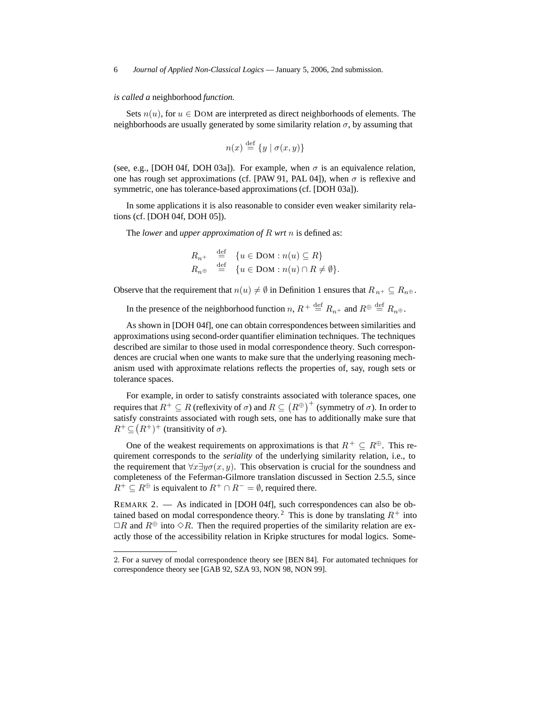*is called a* neighborhood *function.*

Sets  $n(u)$ , for  $u \in$  DOM are interpreted as direct neighborhoods of elements. The neighborhoods are usually generated by some similarity relation  $\sigma$ , by assuming that

$$
n(x) \stackrel{\text{def}}{=} \{y \mid \sigma(x, y)\}
$$

(see, e.g., [DOH 04f, DOH 03a]). For example, when  $\sigma$  is an equivalence relation, one has rough set approximations (cf. [PAW 91, PAL 04]), when  $\sigma$  is reflexive and symmetric, one has tolerance-based approximations (cf. [DOH 03a]).

In some applications it is also reasonable to consider even weaker similarity relations (cf. [DOH 04f, DOH 05]).

The *lower* and *upper approximation of* R *wrt* n is defined as:

$$
\begin{array}{lll} R_{n^+} & \stackrel{\mathrm{def}}{=} & \{u \in \mathrm{DOM} : n(u) \subseteq R\} \\ R_{n^{\oplus}} & \stackrel{\mathrm{def}}{=} & \{u \in \mathrm{DOM} : n(u) \cap R \neq \emptyset\}.\end{array}
$$

Observe that the requirement that  $n(u) \neq \emptyset$  in Definition 1 ensures that  $R_{n^+} \subseteq R_{n^+}$ .

In the presence of the neighborhood function  $n, R^+ \stackrel{\text{def}}{=} R_{n^+}$  and  $R^{\oplus} \stackrel{\text{def}}{=} R_{n^{\oplus}}$ .

As shown in [DOH 04f], one can obtain correspondences between similarities and approximations using second-order quantifier elimination techniques. The techniques described are similar to those used in modal correspondence theory. Such correspondences are crucial when one wants to make sure that the underlying reasoning mechanism used with approximate relations reflects the properties of, say, rough sets or tolerance spaces.

For example, in order to satisfy constraints associated with tolerance spaces, one requires that  $R^+ \subseteq R$  (reflexivity of  $\sigma$ ) and  $R \subseteq (R^{\oplus})^+$  (symmetry of  $\sigma$ ). In order to satisfy constraints associated with rough sets, one has to additionally make sure that  $R^+ \subseteq (R^+)^+$  (transitivity of  $\sigma$ ).

One of the weakest requirements on approximations is that  $R^+ \subseteq R^+$ . This requirement corresponds to the *seriality* of the underlying similarity relation, i.e., to the requirement that  $\forall x \exists y \sigma(x, y)$ . This observation is crucial for the soundness and completeness of the Feferman-Gilmore translation discussed in Section 2.5.5, since  $R^+ \subseteq R^{\oplus}$  is equivalent to  $R^+ \cap R^- = \emptyset$ , required there.

REMARK 2. — As indicated in [DOH 04f], such correspondences can also be obtained based on modal correspondence theory.<sup>2</sup> This is done by translating  $R^+$  into  $\Box R$  and  $R^{\oplus}$  into  $\diamond R$ . Then the required properties of the similarity relation are exactly those of the accessibility relation in Kripke structures for modal logics. Some-

<sup>2</sup>. For a survey of modal correspondence theory see [BEN 84]. For automated techniques for correspondence theory see [GAB 92, SZA 93, NON 98, NON 99].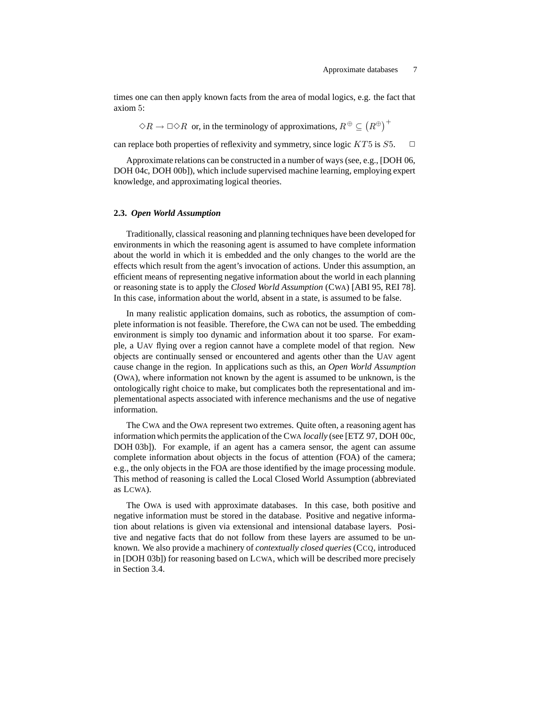times one can then apply known facts from the area of modal logics, e.g. the fact that axiom 5:

 $\Diamond R \to \Box \Diamond R$  or, in the terminology of approximations,  $R^{\oplus} \subseteq (R^{\oplus})^+$ 

can replace both properties of reflexivity and symmetry, since logic  $KT5$  is  $S5$ .  $\Box$ 

Approximate relations can be constructed in a number of ways (see, e.g., [DOH 06, DOH 04c, DOH 00b]), which include supervised machine learning, employing expert knowledge, and approximating logical theories.

#### **2.3.** *Open World Assumption*

Traditionally, classical reasoning and planning techniques have been developed for environments in which the reasoning agent is assumed to have complete information about the world in which it is embedded and the only changes to the world are the effects which result from the agent's invocation of actions. Under this assumption, an efficient means of representing negative information about the world in each planning or reasoning state is to apply the *Closed World Assumption* (CWA) [ABI 95, REI 78]. In this case, information about the world, absent in a state, is assumed to be false.

In many realistic application domains, such as robotics, the assumption of complete information is not feasible. Therefore, the CWA can not be used. The embedding environment is simply too dynamic and information about it too sparse. For example, a UAV flying over a region cannot have a complete model of that region. New objects are continually sensed or encountered and agents other than the UAV agent cause change in the region. In applications such as this, an *Open World Assumption* (OWA), where information not known by the agent is assumed to be unknown, is the ontologically right choice to make, but complicates both the representational and implementational aspects associated with inference mechanisms and the use of negative information.

The CWA and the OWA represent two extremes. Quite often, a reasoning agent has information which permits the application of the CWA *locally* (see [ETZ 97, DOH 00c, DOH 03b]). For example, if an agent has a camera sensor, the agent can assume complete information about objects in the focus of attention (FOA) of the camera; e.g., the only objects in the FOA are those identified by the image processing module. This method of reasoning is called the Local Closed World Assumption (abbreviated as LCWA).

The OWA is used with approximate databases. In this case, both positive and negative information must be stored in the database. Positive and negative information about relations is given via extensional and intensional database layers. Positive and negative facts that do not follow from these layers are assumed to be unknown. We also provide a machinery of *contextually closed queries* (CCQ, introduced in [DOH 03b]) for reasoning based on LCWA, which will be described more precisely in Section 3.4.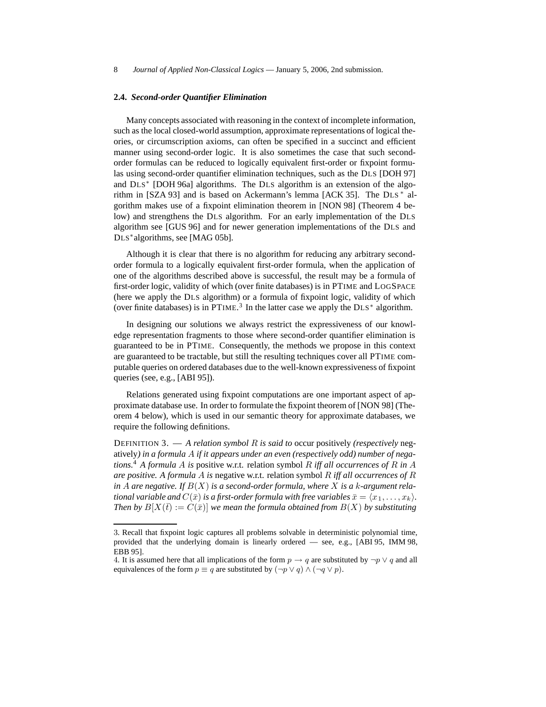# **2.4.** *Second-order Quantifier Elimination*

Many concepts associated with reasoning in the context of incomplete information, such as the local closed-world assumption, approximate representations of logical theories, or circumscription axioms, can often be specified in a succinct and efficient manner using second-order logic. It is also sometimes the case that such secondorder formulas can be reduced to logically equivalent first-order or fixpoint formulas using second-order quantifier elimination techniques, such as the DLS [DOH 97] and DLS<sup>\*</sup> [DOH 96a] algorithms. The DLS algorithm is an extension of the algorithm in [SZA 93] and is based on Ackermann's lemma [ACK 35]. The DLS <sup>∗</sup> algorithm makes use of a fixpoint elimination theorem in [NON 98] (Theorem 4 below) and strengthens the DLS algorithm. For an early implementation of the DLS algorithm see [GUS 96] and for newer generation implementations of the DLS and DLS∗algorithms, see [MAG 05b].

Although it is clear that there is no algorithm for reducing any arbitrary secondorder formula to a logically equivalent first-order formula, when the application of one of the algorithms described above is successful, the result may be a formula of first-order logic, validity of which (over finite databases) is in PTIME and LOGSPACE (here we apply the DLS algorithm) or a formula of fixpoint logic, validity of which (over finite databases) is in PTIME.<sup>3</sup> In the latter case we apply the  $DLS^*$  algorithm.

In designing our solutions we always restrict the expressiveness of our knowledge representation fragments to those where second-order quantifier elimination is guaranteed to be in PTIME. Consequently, the methods we propose in this context are guaranteed to be tractable, but still the resulting techniques cover all PTIME computable queries on ordered databases due to the well-known expressiveness of fixpoint queries (see, e.g., [ABI 95]).

Relations generated using fixpoint computations are one important aspect of approximate database use. In order to formulate the fixpoint theorem of [NON 98] (Theorem 4 below), which is used in our semantic theory for approximate databases, we require the following definitions.

DEFINITION 3. — *A relation symbol* R *is said to* occur positively *(respectively* negatively*) in a formula* A *if it appears under an even (respectively odd) number of negations.*<sup>4</sup> *A formula* A *is* positive w.r.t. relation symbol R *iff all occurrences of* R *in* A *are positive. A formula* A *is* negative w.r.t. relation symbol R *iff all occurrences of* R in A are negative. If  $B(X)$  is a second-order formula, where X is a k-argument relational variable and  $C(\bar x)$  is a first-order formula with free variables  $\bar x = \langle x_1,\ldots,x_k\rangle.$ *Then by*  $B[X(\bar{t}) := C(\bar{x})]$  *we mean the formula obtained from*  $B(X)$  *by substituting* 

<sup>3</sup>. Recall that fixpoint logic captures all problems solvable in deterministic polynomial time, provided that the underlying domain is linearly ordered — see, e.g., [ABI 95, IMM 98, EBB 95].

<sup>4.</sup> It is assumed here that all implications of the form  $p \to q$  are substituted by  $\neg p \lor q$  and all equivalences of the form  $p \equiv q$  are substituted by  $(\neg p \lor q) \land (\neg q \lor p)$ .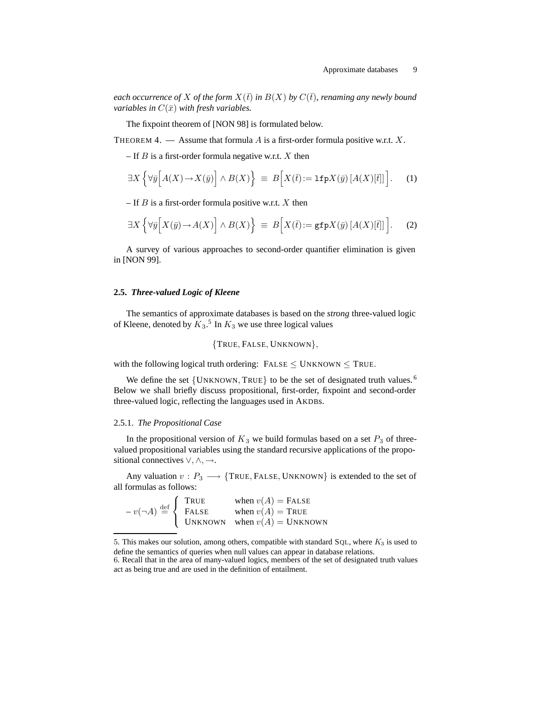each occurrence of X of the form  $X(\bar{t})$  in  $B(X)$  by  $C(\bar{t})$ , renaming any newly bound *variables in*  $C(\bar{x})$  *with fresh variables.* 

The fixpoint theorem of [NON 98] is formulated below.

THEOREM 4. — Assume that formula A is a first-order formula positive w.r.t. X.

– If  $B$  is a first-order formula negative w.r.t.  $X$  then

$$
\exists X \left\{ \forall \bar{y} \Big[ A(X) \to X(\bar{y}) \Big] \land B(X) \right\} \equiv B \Big[ X(\bar{t}) \coloneqq \mathbf{1fp} X(\bar{y}) \left[ A(X)[\bar{t}] \right] \Big]. \tag{1}
$$

– If  $B$  is a first-order formula positive w.r.t.  $X$  then

$$
\exists X \left\{ \forall \bar{y} \Big[ X(\bar{y}) \to A(X) \Big] \land B(X) \right\} \equiv B \Big[ X(\bar{t}) := \mathbf{gfp} X(\bar{y}) \left[ A(X)[\bar{t}] \right] \Big]. \tag{2}
$$

A survey of various approaches to second-order quantifier elimination is given in [NON 99].

# **2.5.** *Three-valued Logic of Kleene*

The semantics of approximate databases is based on the *strong* three-valued logic of Kleene, denoted by  $K_3$ .<sup>5</sup> In  $K_3$  we use three logical values

$$
{\{TRUE, FALSE, UNKNOWN\}},
$$

with the following logical truth ordering:  $FALSE \leq UNKNOWN \leq TRUE$ .

We define the set {UNKNOWN, TRUE} to be the set of designated truth values.<sup>6</sup> Below we shall briefly discuss propositional, first-order, fixpoint and second-order three-valued logic, reflecting the languages used in AKDBs.

## 2.5.1. *The Propositional Case*

In the propositional version of  $K_3$  we build formulas based on a set  $P_3$  of threevalued propositional variables using the standard recursive applications of the propositional connectives  $\vee, \wedge, \rightarrow.$ 

Any valuation  $v : P_3 \longrightarrow \{TRUE, FALSE, UNKNOWN\}$  is extended to the set of all formulas as follows:

| $-v(\neg A) \stackrel{\text{def}}{=} \begin{cases} \text{TRUE} \\ \text{FALSE} \end{cases}$ | when $v(A)$ = FALSE           |
|---------------------------------------------------------------------------------------------|-------------------------------|
|                                                                                             | when $v(A)$ = TRUE            |
|                                                                                             | UNKNOWN when $v(A) = UNKNOWN$ |

<sup>5</sup>. This makes our solution, among others, compatible with standard SQL, where *K*<sup>3</sup> is used to define the semantics of queries when null values can appear in database relations.

<sup>6</sup>. Recall that in the area of many-valued logics, members of the set of designated truth values act as being true and are used in the definition of entailment.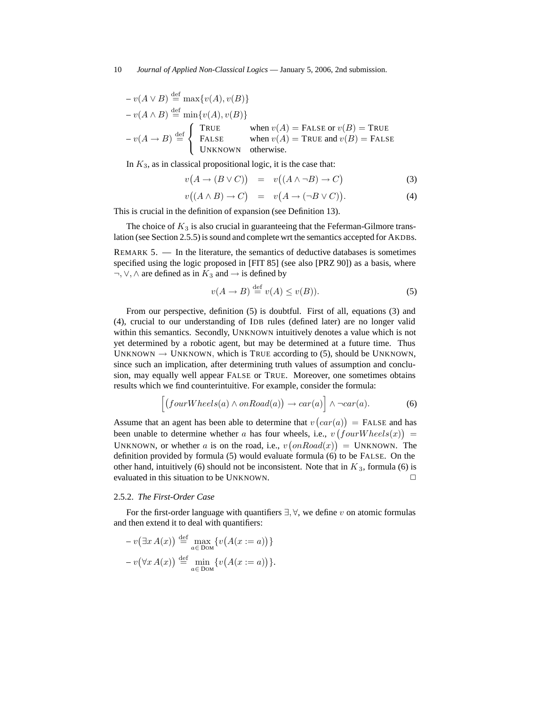$$
-v(A \vee B) \stackrel{\text{def}}{=} \max\{v(A), v(B)\}
$$
  

$$
-v(A \wedge B) \stackrel{\text{def}}{=} \min\{v(A), v(B)\}
$$
  

$$
-v(A \rightarrow B) \stackrel{\text{def}}{=} \begin{cases} \text{TRUE} & \text{when } v(A) = \text{FALSE or } v(B) = \text{TRUE} \\ \text{FALSE} & \text{when } v(A) = \text{TRUE and } v(B) = \text{FALSE} \\ \text{UNKNOWLEDs} & \text{otherwise.} \end{cases}
$$

In  $K_3$ , as in classical propositional logic, it is the case that:

$$
v(A \to (B \lor C)) = v((A \land \neg B) \to C)
$$
\n(3)

$$
v((A \wedge B) \to C) = v(A \to (\neg B \vee C)). \tag{4}
$$

This is crucial in the definition of expansion (see Definition 13).

The choice of  $K_3$  is also crucial in guaranteeing that the Feferman-Gilmore translation (see Section 2.5.5) is sound and complete wrt the semantics accepted for AKDBs.

REMARK 5. — In the literature, the semantics of deductive databases is sometimes specified using the logic proposed in [FIT 85] (see also [PRZ 90]) as a basis, where  $\neg, \vee, \wedge$  are defined as in  $K_3$  and  $\rightarrow$  is defined by

$$
v(A \to B) \stackrel{\text{def}}{=} v(A) \le v(B)).\tag{5}
$$

From our perspective, definition (5) is doubtful. First of all, equations (3) and (4), crucial to our understanding of IDB rules (defined later) are no longer valid within this semantics. Secondly, UNKNOWN intuitively denotes a value which is not yet determined by a robotic agent, but may be determined at a future time. Thus UNKNOWN  $\rightarrow$  UNKNOWN, which is TRUE according to (5), should be UNKNOWN, since such an implication, after determining truth values of assumption and conclusion, may equally well appear FALSE or TRUE. Moreover, one sometimes obtains results which we find counterintuitive. For example, consider the formula:

$$
\left[ \left( fourWheels(a) \land on Road(a) \right) \rightarrow car(a) \right] \land \neg car(a). \tag{6}
$$

Assume that an agent has been able to determine that  $v \left( \text{car}(a) \right) =$  FALSE and has been unable to determine whether a has four wheels, i.e.,  $v(fourWheels(x)) =$ UNKNOWN, or whether a is on the road, i.e.,  $v\left( on Road(x) \right) = \text{UNKNOWLEDN}$ . The definition provided by formula (5) would evaluate formula (6) to be FALSE. On the other hand, intuitively (6) should not be inconsistent. Note that in  $K_3$ , formula (6) is evaluated in this situation to be UNKNOWN.  $\Box$ 

# 2.5.2. *The First-Order Case*

For the first-order language with quantifiers  $\exists, \forall$ , we define v on atomic formulas and then extend it to deal with quantifiers:

$$
-v(\exists x A(x)) \stackrel{\text{def}}{=} \max_{a \in \text{Dom}} \{v(A(x := a))\}
$$

$$
-v(\forall x A(x)) \stackrel{\text{def}}{=} \min_{a \in \text{Dom}} \{v(A(x := a))\}.
$$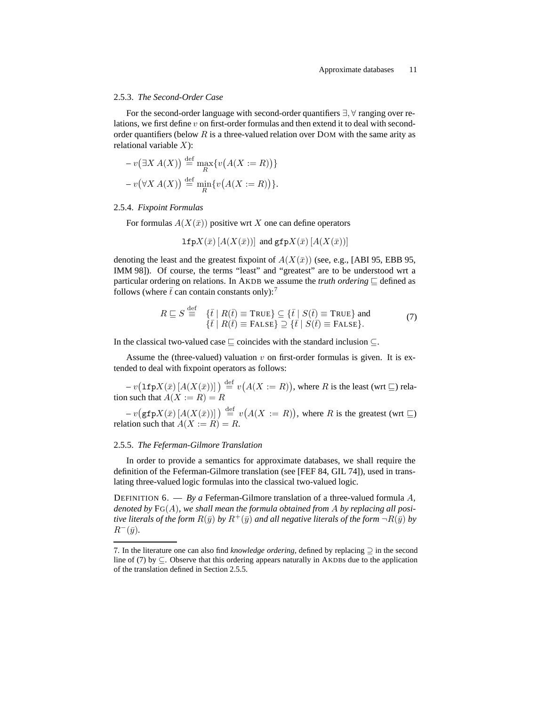## 2.5.3. *The Second-Order Case*

For the second-order language with second-order quantifiers ∃, ∀ ranging over relations, we first define  $v$  on first-order formulas and then extend it to deal with secondorder quantifiers (below  $R$  is a three-valued relation over DOM with the same arity as relational variable  $X$ ):

$$
-v(\exists X A(X)) \stackrel{\text{def}}{=} \max_{R} \{v(A(X := R))\}
$$

$$
-v(\forall X A(X)) \stackrel{\text{def}}{=} \min_{R} \{v(A(X := R))\}.
$$

#### 2.5.4. *Fixpoint Formulas*

For formulas  $A(X(\bar{x}))$  positive wrt X one can define operators

$$
\mathbf{lfp}X(\bar{x})\left[A(X(\bar{x}))\right] \text{ and } \mathbf{gfp}X(\bar{x})\left[A(X(\bar{x}))\right]
$$

denoting the least and the greatest fixpoint of  $A(X(\bar{x}))$  (see, e.g., [ABI 95, EBB 95, IMM 98]). Of course, the terms "least" and "greatest" are to be understood wrt a particular ordering on relations. In AKDB we assume the *truth ordering*  $\subseteq$  defined as follows (where  $\bar{t}$  can contain constants only):<sup>7</sup>

$$
R \sqsubseteq S \stackrel{\text{def}}{=} \{ \bar{t} \mid R(\bar{t}) \equiv \text{TRUE} \} \subseteq \{ \bar{t} \mid S(\bar{t}) \equiv \text{TRUE} \} \text{ and}
$$
\n
$$
\{ \bar{t} \mid R(\bar{t}) \equiv \text{FALSE} \} \supseteq \{ \bar{t} \mid S(\bar{t}) \equiv \text{FALSE} \}.
$$
\n(7)

In the classical two-valued case  $\sqsubseteq$  coincides with the standard inclusion  $\subseteq$ .

Assume the (three-valued) valuation  $v$  on first-order formulas is given. It is extended to deal with fixpoint operators as follows:

 $- v(1fpX(\bar{x})[A(X(\bar{x}))]) \stackrel{\text{def}}{=} v(A(X := R)),$  where R is the least (wrt  $\sqsubseteq$ ) relation such that  $A(X := R) = R$ 

 $- v(\text{gfp}X(\bar{x}) [A(X(\bar{x}))]) \stackrel{\text{def}}{=} v(A(X := R)),$  where R is the greatest (wrt  $\sqsubseteq$ ) tion such that  $A(X := R) = R$ relation such that  $A(X := R) = R$ .

#### 2.5.5. *The Feferman-Gilmore Translation*

In order to provide a semantics for approximate databases, we shall require the definition of the Feferman-Gilmore translation (see [FEF 84, GIL 74]), used in translating three-valued logic formulas into the classical two-valued logic.

DEFINITION 6. — *By a* Feferman-Gilmore translation of a three-valued formula A*, denoted by* FG(A)*, we shall mean the formula obtained from* A *by replacing all positive literals of the form*  $R(\bar{y})$  *by*  $R^+(\bar{y})$  *and all negative literals of the form*  $\neg R(\bar{y})$  *by*  $R^-(\bar{y})$ .

<sup>7</sup>. In the literature one can also find *knowledge ordering*, defined by replacing ⊇ in the second line of (7) by  $\subseteq$ . Observe that this ordering appears naturally in AKDBs due to the application of the translation defined in Section 2.5.5.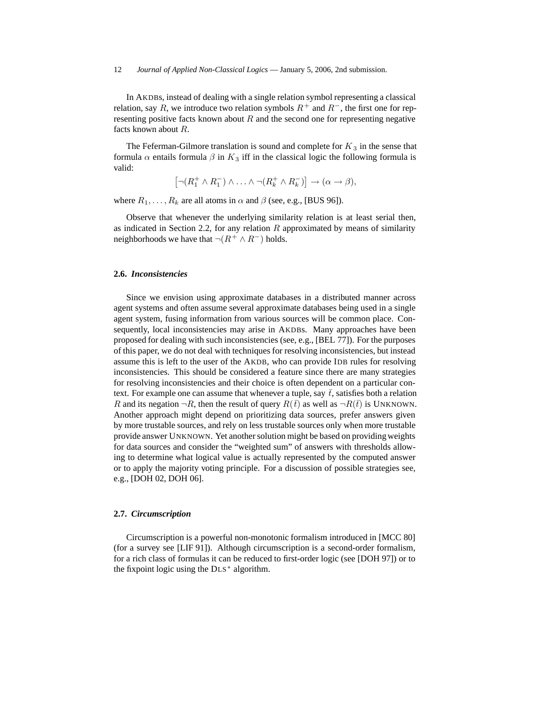12 *Journal of Applied Non-Classical Logics* — January 5, 2006, 2nd submission.

In AKDBs, instead of dealing with a single relation symbol representing a classical relation, say R, we introduce two relation symbols  $R^+$  and  $R^-$ , the first one for representing positive facts known about  $R$  and the second one for representing negative facts known about R.

The Feferman-Gilmore translation is sound and complete for  $K_3$  in the sense that formula  $\alpha$  entails formula  $\beta$  in  $K_3$  iff in the classical logic the following formula is valid:

$$
[\neg (R_1^+ \wedge R_1^-) \wedge \ldots \wedge \neg (R_k^+ \wedge R_k^-)] \rightarrow (\alpha \rightarrow \beta),
$$

where  $R_1, \ldots, R_k$  are all atoms in  $\alpha$  and  $\beta$  (see, e.g., [BUS 96]).

Observe that whenever the underlying similarity relation is at least serial then, as indicated in Section 2.2, for any relation  $R$  approximated by means of similarity neighborhoods we have that  $\neg(R^+ \land R^-)$  holds.

# **2.6.** *Inconsistencies*

Since we envision using approximate databases in a distributed manner across agent systems and often assume several approximate databases being used in a single agent system, fusing information from various sources will be common place. Consequently, local inconsistencies may arise in AKDBs. Many approaches have been proposed for dealing with such inconsistencies (see, e.g., [BEL 77]). For the purposes of this paper, we do not deal with techniques for resolving inconsistencies, but instead assume this is left to the user of the AKDB, who can provide IDB rules for resolving inconsistencies. This should be considered a feature since there are many strategies for resolving inconsistencies and their choice is often dependent on a particular context. For example one can assume that whenever a tuple, say  $\bar{t}$ , satisfies both a relation R and its negation  $\neg R$ , then the result of query  $R(\bar{t})$  as well as  $\neg R(\bar{t})$  is UNKNOWN. Another approach might depend on prioritizing data sources, prefer answers given by more trustable sources, and rely on less trustable sources only when more trustable provide answer UNKNOWN. Yet another solution might be based on providing weights for data sources and consider the "weighted sum" of answers with thresholds allowing to determine what logical value is actually represented by the computed answer or to apply the majority voting principle. For a discussion of possible strategies see, e.g., [DOH 02, DOH 06].

# **2.7.** *Circumscription*

Circumscription is a powerful non-monotonic formalism introduced in [MCC 80] (for a survey see [LIF 91]). Although circumscription is a second-order formalism, for a rich class of formulas it can be reduced to first-order logic (see [DOH 97]) or to the fixpoint logic using the DLS<sup>∗</sup> algorithm.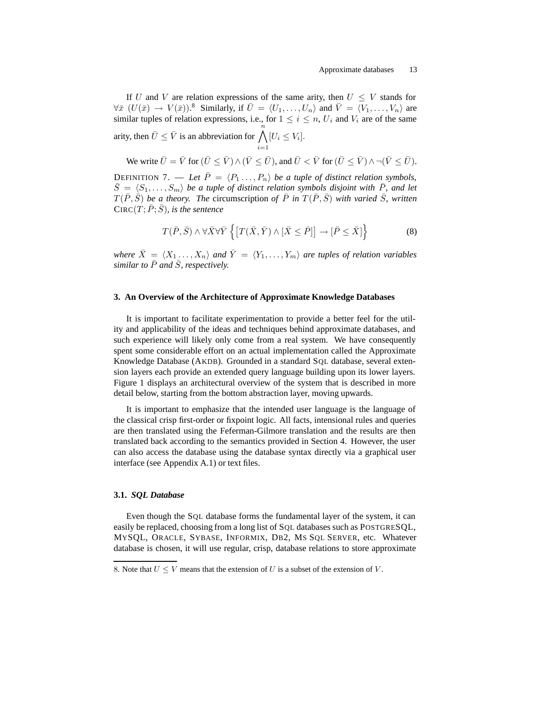If U and V are relation expressions of the same arity, then  $U \leq V$  stands for  $\forall \bar{x} \ (U(\bar{x}) \rightarrow V(\bar{x}))$ .<sup>8</sup> Similarly, if  $\bar{U} = \langle U_1, \ldots, U_n \rangle$  and  $\bar{V} = \langle V_1, \ldots, V_n \rangle$  are similar tuples of relation expressions, i.e., for  $1 \leq i \leq n$ ,  $U_i$  and  $V_i$  are of the same arity, then  $\bar{U} \leq \bar{V}$  is an abbreviation for  $\bigwedge^n$  $[U_i \leq V_i].$ 

*i*=1

We write  $\bar{U} = \bar{V}$  for  $(\bar{U} \le \bar{V}) \wedge (\bar{V} \le \bar{U})$ , and  $\bar{U} < \bar{V}$  for  $(\bar{U} \le \bar{V}) \wedge \neg (\bar{V} \le \bar{U})$ .

DEFINITION 7. — Let  $\overline{P} = \langle P_1 \ldots, P_n \rangle$  be a tuple of distinct relation symbols,  $\bar{S} = \langle S_1, \ldots, S_m \rangle$  be a tuple of distinct relation symbols disjoint with  $\bar{P}$ , and let  $T(\bar{P}, \bar{S})$  *be a theory. The* circumscription *of*  $\bar{P}$  *in*  $T(\bar{P}, \bar{S})$  *with varied*  $\bar{S}$ *, written*  $CIRC(T;P;S)$ *, is the sentence* 

$$
T(\bar{P}, \bar{S}) \wedge \forall \bar{X} \forall \bar{Y} \left\{ \left[ T(\bar{X}, \bar{Y}) \wedge [\bar{X} \le \bar{P}] \right] \rightarrow [\bar{P} \le \bar{X}] \right\}
$$
(8)

*where*  $\bar{X} = \langle X_1, \ldots, X_n \rangle$  and  $\bar{Y} = \langle Y_1, \ldots, Y_m \rangle$  are tuples of relation variables *similar to*  $\overline{P}$  *and*  $\overline{S}$ *, respectively.* 

## **3. An Overview of the Architecture of Approximate Knowledge Databases**

It is important to facilitate experimentation to provide a better feel for the utility and applicability of the ideas and techniques behind approximate databases, and such experience will likely only come from a real system. We have consequently spent some considerable effort on an actual implementation called the Approximate Knowledge Database (AKDB). Grounded in a standard SQL database, several extension layers each provide an extended query language building upon its lower layers. Figure 1 displays an architectural overview of the system that is described in more detail below, starting from the bottom abstraction layer, moving upwards.

It is important to emphasize that the intended user language is the language of the classical crisp first-order or fixpoint logic. All facts, intensional rules and queries are then translated using the Feferman-Gilmore translation and the results are then translated back according to the semantics provided in Section 4. However, the user can also access the database using the database syntax directly via a graphical user interface (see Appendix A.1) or text files.

# **3.1.** *SQL Database*

Even though the SQL database forms the fundamental layer of the system, it can easily be replaced, choosing from a long list of SQL databases such as POSTGRESQL, MYSQL, ORACLE, SYBASE, INFORMIX, DB2, MS SQL SERVER, etc. Whatever database is chosen, it will use regular, crisp, database relations to store approximate

<sup>8.</sup> Note that  $U \leq V$  means that the extension of *U* is a subset of the extension of *V*.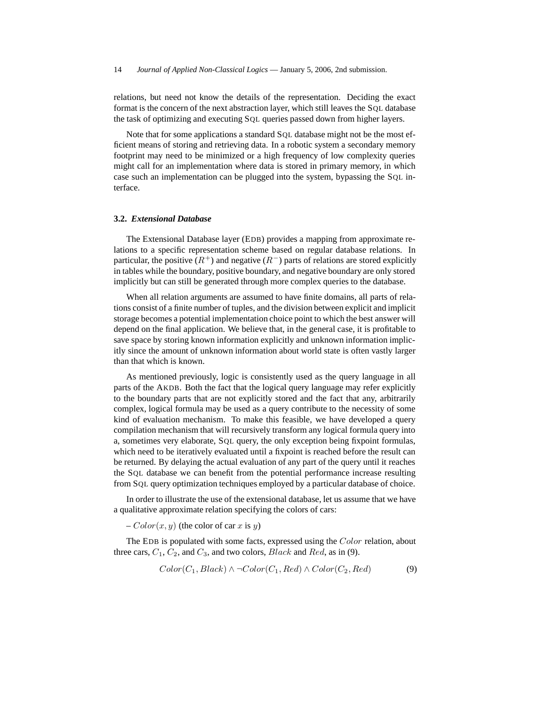relations, but need not know the details of the representation. Deciding the exact format is the concern of the next abstraction layer, which still leaves the SQL database the task of optimizing and executing SQL queries passed down from higher layers.

Note that for some applications a standard SQL database might not be the most efficient means of storing and retrieving data. In a robotic system a secondary memory footprint may need to be minimized or a high frequency of low complexity queries might call for an implementation where data is stored in primary memory, in which case such an implementation can be plugged into the system, bypassing the SQL interface.

## **3.2.** *Extensional Database*

The Extensional Database layer (EDB) provides a mapping from approximate relations to a specific representation scheme based on regular database relations. In particular, the positive  $(R^+)$  and negative  $(R^-)$  parts of relations are stored explicitly in tables while the boundary, positive boundary, and negative boundary are only stored implicitly but can still be generated through more complex queries to the database.

When all relation arguments are assumed to have finite domains, all parts of relations consist of a finite number of tuples, and the division between explicit and implicit storage becomes a potential implementation choice point to which the best answer will depend on the final application. We believe that, in the general case, it is profitable to save space by storing known information explicitly and unknown information implicitly since the amount of unknown information about world state is often vastly larger than that which is known.

As mentioned previously, logic is consistently used as the query language in all parts of the AKDB. Both the fact that the logical query language may refer explicitly to the boundary parts that are not explicitly stored and the fact that any, arbitrarily complex, logical formula may be used as a query contribute to the necessity of some kind of evaluation mechanism. To make this feasible, we have developed a query compilation mechanism that will recursively transform any logical formula query into a, sometimes very elaborate, SQL query, the only exception being fixpoint formulas, which need to be iteratively evaluated until a fixpoint is reached before the result can be returned. By delaying the actual evaluation of any part of the query until it reaches the SQL database we can benefit from the potential performance increase resulting from SQL query optimization techniques employed by a particular database of choice.

In order to illustrate the use of the extensional database, let us assume that we have a qualitative approximate relation specifying the colors of cars:

 $-Color(x, y)$  (the color of car x is y)

The EDB is populated with some facts, expressed using the Color relation, about three cars,  $C_1$ ,  $C_2$ , and  $C_3$ , and two colors, *Black* and *Red*, as in (9).

$$
Color(C_1, Black) \land \neg Color(C_1, Red) \land Color(C_2, Red)
$$
\n(9)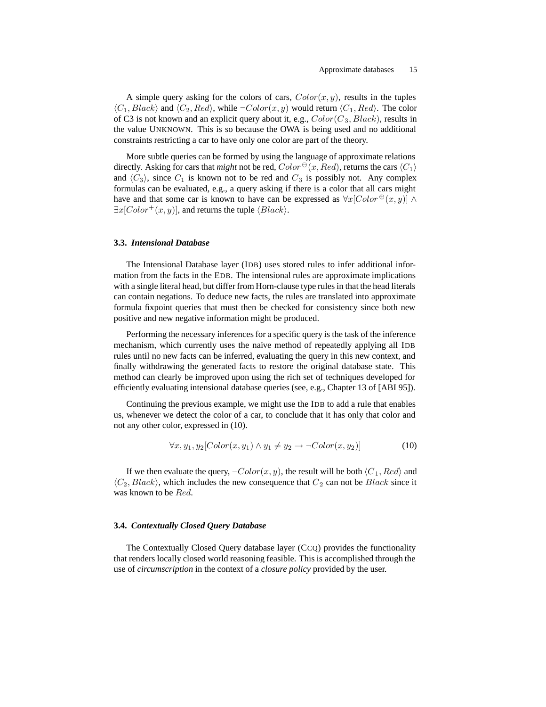A simple query asking for the colors of cars,  $Color(x, y)$ , results in the tuples  $\langle C_1, Black \rangle$  and  $\langle C_2, Red \rangle$ , while  $\neg Color(x, y)$  would return  $\langle C_1, Red \rangle$ . The color of C3 is not known and an explicit query about it, e.g.,  $Color(C_3, Black)$ , results in the value UNKNOWN. This is so because the OWA is being used and no additional constraints restricting a car to have only one color are part of the theory.

More subtle queries can be formed by using the language of approximate relations directly. Asking for cars that *might* not be red,  $Color^{\ominus}(x, Red)$ , returns the cars  $\langle C_1 \rangle$ and  $\langle C_3 \rangle$ , since  $C_1$  is known not to be red and  $C_3$  is possibly not. Any complex formulas can be evaluated, e.g., a query asking if there is a color that all cars might have and that some car is known to have can be expressed as  $\forall x$ [Color  $\oplus$  (x, y)] ∧  $\exists x [Color^+(x, y)],$  and returns the tuple  $\langle Black \rangle$ .

## **3.3.** *Intensional Database*

The Intensional Database layer (IDB) uses stored rules to infer additional information from the facts in the EDB. The intensional rules are approximate implications with a single literal head, but differ from Horn-clause type rules in that the head literals can contain negations. To deduce new facts, the rules are translated into approximate formula fixpoint queries that must then be checked for consistency since both new positive and new negative information might be produced.

Performing the necessary inferences for a specific query is the task of the inference mechanism, which currently uses the naive method of repeatedly applying all IDB rules until no new facts can be inferred, evaluating the query in this new context, and finally withdrawing the generated facts to restore the original database state. This method can clearly be improved upon using the rich set of techniques developed for efficiently evaluating intensional database queries (see, e.g., Chapter 13 of [ABI 95]).

Continuing the previous example, we might use the IDB to add a rule that enables us, whenever we detect the color of a car, to conclude that it has only that color and not any other color, expressed in (10).

$$
\forall x, y_1, y_2[Color(x, y_1) \land y_1 \neq y_2 \rightarrow \neg Color(x, y_2)] \tag{10}
$$

If we then evaluate the query,  $\neg Color(x, y)$ , the result will be both  $\langle C_1, Red \rangle$  and  $\langle C_2, Black \rangle$ , which includes the new consequence that  $C_2$  can not be *Black* since it was known to be Red.

# **3.4.** *Contextually Closed Query Database*

The Contextually Closed Query database layer (CCQ) provides the functionality that renders locally closed world reasoning feasible. This is accomplished through the use of *circumscription* in the context of a *closure policy* provided by the user.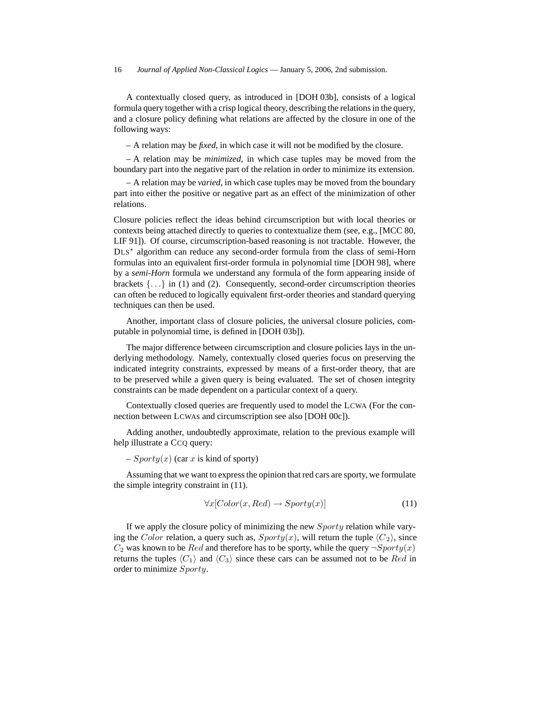A contextually closed query, as introduced in [DOH 03b], consists of a logical formula query together with a crisp logical theory, describing the relations in the query, and a closure policy defining what relations are affected by the closure in one of the following ways:

– A relation may be *fixed*, in which case it will not be modified by the closure.

– A relation may be *minimized*, in which case tuples may be moved from the boundary part into the negative part of the relation in order to minimize its extension.

– A relation may be *varied*, in which case tuples may be moved from the boundary part into either the positive or negative part as an effect of the minimization of other relations.

Closure policies reflect the ideas behind circumscription but with local theories or contexts being attached directly to queries to contextualize them (see, e.g., [MCC 80, LIF 91]). Of course, circumscription-based reasoning is not tractable. However, the DLS<sup>∗</sup> algorithm can reduce any second-order formula from the class of semi-Horn formulas into an equivalent first-order formula in polynomial time [DOH 98], where by a *semi-Horn* formula we understand any formula of the form appearing inside of brackets {...} in (1) and (2). Consequently, second-order circumscription theories can often be reduced to logically equivalent first-order theories and standard querying techniques can then be used.

Another, important class of closure policies, the universal closure policies, computable in polynomial time, is defined in [DOH 03b]).

The major difference between circumscription and closure policies lays in the underlying methodology. Namely, contextually closed queries focus on preserving the indicated integrity constraints, expressed by means of a first-order theory, that are to be preserved while a given query is being evaluated. The set of chosen integrity constraints can be made dependent on a particular context of a query.

Contextually closed queries are frequently used to model the LCWA (For the connection between LCWAs and circumscription see also [DOH 00c]).

Adding another, undoubtedly approximate, relation to the previous example will help illustrate a CCQ query:

 $-$  Sporty(x) (car x is kind of sporty)

Assuming that we want to express the opinion that red cars are sporty, we formulate the simple integrity constraint in (11).

$$
\forall x [Color(x, Red) \rightarrow Sporty(x)] \tag{11}
$$

If we apply the closure policy of minimizing the new  $Sportsporty$  relation while varying the Color relation, a query such as,  $Sportsporty(x)$ , will return the tuple  $\langle C_2 \rangle$ , since  $C_2$  was known to be Red and therefore has to be sporty, while the query  $\neg Sporty(x)$ returns the tuples  $\langle C_1 \rangle$  and  $\langle C_3 \rangle$  since these cars can be assumed not to be Red in order to minimize Sporty.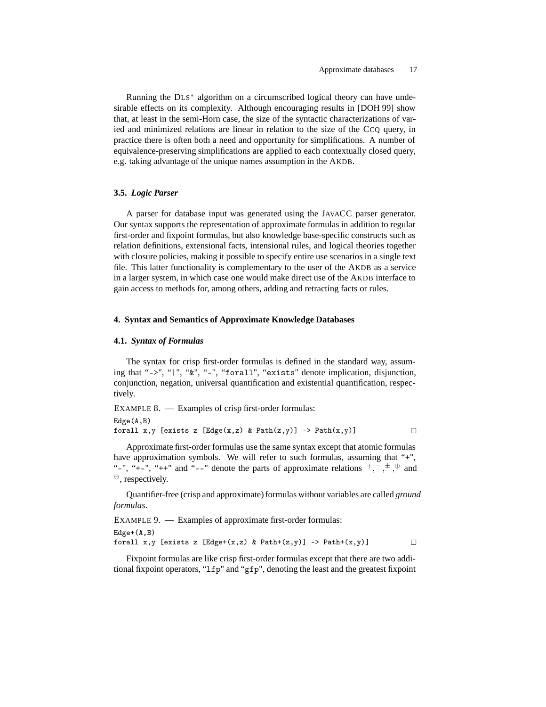Running the DLS∗ algorithm on a circumscribed logical theory can have undesirable effects on its complexity. Although encouraging results in [DOH 99] show that, at least in the semi-Horn case, the size of the syntactic characterizations of varied and minimized relations are linear in relation to the size of the CCQ query, in practice there is often both a need and opportunity for simplifications. A number of equivalence-preserving simplifications are applied to each contextually closed query, e.g. taking advantage of the unique names assumption in the AKDB.

# **3.5.** *Logic Parser*

A parser for database input was generated using the JAVACC parser generator. Our syntax supports the representation of approximate formulas in addition to regular first-order and fixpoint formulas, but also knowledge base-specific constructs such as relation definitions, extensional facts, intensional rules, and logical theories together with closure policies, making it possible to specify entire use scenarios in a single text file. This latter functionality is complementary to the user of the AKDB as a service in a larger system, in which case one would make direct use of the AKDB interface to gain access to methods for, among others, adding and retracting facts or rules.

## **4. Syntax and Semantics of Approximate Knowledge Databases**

#### **4.1.** *Syntax of Formulas*

The syntax for crisp first-order formulas is defined in the standard way, assuming that "->", "|", "&", "-", "forall", "exists" denote implication, disjunction, conjunction, negation, universal quantification and existential quantification, respectively.

EXAMPLE 8. — Examples of crisp first-order formulas: Edge(A,B) forall x,y [exists z [Edge(x,z) & Path(z,y)] -> Path(x,y)]  $\Box$ 

Approximate first-order formulas use the same syntax except that atomic formulas have approximation symbols. We will refer to such formulas, assuming that "+", "-", "+-", "++" and "--" denote the parts of approximate relations  $+,-, \pm, \oplus$  and  $\ominus$  respectively.  $\Theta$ , respectively.

Quantifier-free (crisp and approximate) formulas without variables are called *ground formulas*.

EXAMPLE 9. — Examples of approximate first-order formulas:

Edge+(A,B)

forall x,y [exists z [Edge+(x,z) & Path+(z,y)] -> Path+(x,y)]  $\Box$ 

Fixpoint formulas are like crisp first-order formulas except that there are two additional fixpoint operators, "lfp" and "gfp", denoting the least and the greatest fixpoint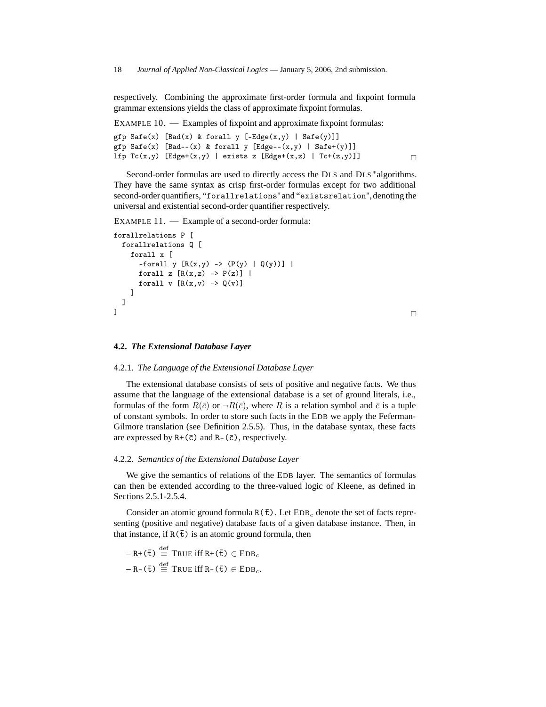respectively. Combining the approximate first-order formula and fixpoint formula grammar extensions yields the class of approximate fixpoint formulas.

EXAMPLE 10. — Examples of fixpoint and approximate fixpoint formulas:

```
gfp Safe(x) [Bad(x) & forall y [-Edge(x,y) | Safe(y)]]gfp Safe(x) [Bad--(x) & forall y [Edge--(x,y) | Safe+(y)]]
lfp Tc(x,y) [Edge+(x,y) | exists z [Edge+(x,z) | Tc+(z,y)]]
```
Second-order formulas are used to directly access the DLS and DLS  $*$ algorithms. They have the same syntax as crisp first-order formulas except for two additional second-order quantifiers, "forallrelations"and "existsrelation",denoting the universal and existential second-order quantifier respectively.

EXAMPLE 11. — Example of a second-order formula:

```
forallrelations P [
  forallrelations Q [
    forall x [
      -forall y [R(x,y) \rightarrow (P(y) | Q(y))]forall z [R(x,z) \rightarrow P(z)] |
      forall v [R(x,v) \rightarrow Q(v)]]
 ]
) the contract of the contract of the contract of the contract of \Box
```
#### **4.2.** *The Extensional Database Layer*

# 4.2.1. *The Language of the Extensional Database Layer*

The extensional database consists of sets of positive and negative facts. We thus assume that the language of the extensional database is a set of ground literals, i.e., formulas of the form  $R(\bar{c})$  or  $\neg R(\bar{c})$ , where R is a relation symbol and  $\bar{c}$  is a tuple of constant symbols. In order to store such facts in the EDB we apply the Feferman-Gilmore translation (see Definition 2.5.5). Thus, in the database syntax, these facts are expressed by  $R+(\bar{c})$  and  $R-(\bar{c})$ , respectively.

## 4.2.2. *Semantics of the Extensional Database Layer*

We give the semantics of relations of the EDB layer. The semantics of formulas can then be extended according to the three-valued logic of Kleene, as defined in Sections 2.5.1-2.5.4.

Consider an atomic ground formula  $R(E)$ . Let  $EDB<sub>c</sub>$  denote the set of facts representing (positive and negative) database facts of a given database instance. Then, in that instance, if  $R(\bar{t})$  is an atomic ground formula, then

$$
- R + (\overline{\tau}) \stackrel{\text{def}}{=} \text{TRUE iff } R + (\overline{\tau}) \in \text{EDB}_c
$$
  

$$
- R - (\overline{\tau}) \stackrel{\text{def}}{=} \text{TRUE iff } R - (\overline{\tau}) \in \text{EDB}_c.
$$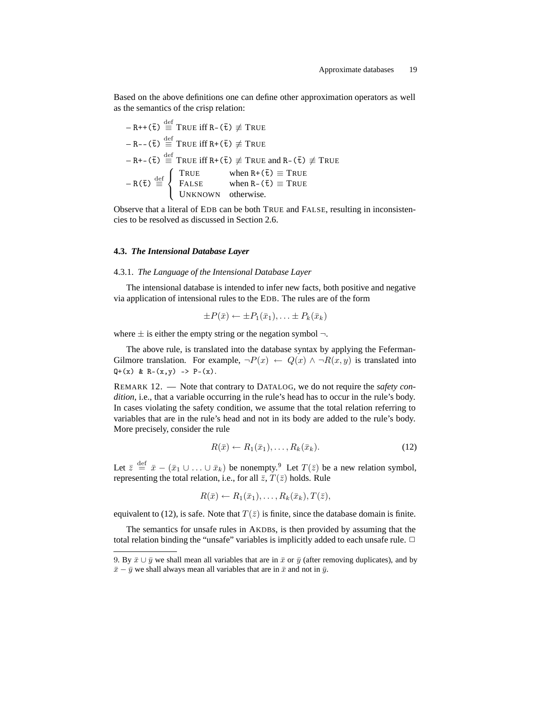Based on the above definitions one can define other approximation operators as well as the semantics of the crisp relation:

$$
- R++(\overline{t}) \stackrel{\text{def}}{=} \text{TRUE iff } R-(\overline{t}) \neq \text{TRUE}
$$
\n
$$
- R--(\overline{t}) \stackrel{\text{def}}{=} \text{TRUE iff } R+(\overline{t}) \neq \text{TRUE}
$$
\n
$$
- R+-(\overline{t}) \stackrel{\text{def}}{=} \text{TRUE iff } R+(\overline{t}) \neq \text{TRUE and } R-(\overline{t}) \neq \text{TRUE}
$$
\n
$$
- R(\overline{t}) \stackrel{\text{def}}{=} \begin{cases} \text{TRUE} & \text{when } R+(\overline{t}) \equiv \text{TRUE} \\ \text{FALSE} & \text{when } R-(\overline{t}) \equiv \text{TRUE} \\ \text{UNKNOWLEDt} & \text{otherwise.} \end{cases}
$$

Observe that a literal of EDB can be both TRUE and FALSE, resulting in inconsistencies to be resolved as discussed in Section 2.6.

## **4.3.** *The Intensional Database Layer*

## 4.3.1. *The Language of the Intensional Database Layer*

The intensional database is intended to infer new facts, both positive and negative via application of intensional rules to the EDB. The rules are of the form

$$
\pm P(\bar{x}) \leftarrow \pm P_1(\bar{x}_1), \ldots \pm P_k(\bar{x}_k)
$$

where  $\pm$  is either the empty string or the negation symbol  $\neg$ .

The above rule, is translated into the database syntax by applying the Feferman-Gilmore translation. For example,  $\neg P(x) \leftarrow Q(x) \land \neg R(x, y)$  is translated into  $Q+(x)$  & R- $(x, y)$  -> P- $(x)$ .

REMARK 12. — Note that contrary to DATALOG, we do not require the *safety condition*, i.e., that a variable occurring in the rule's head has to occur in the rule's body. In cases violating the safety condition, we assume that the total relation referring to variables that are in the rule's head and not in its body are added to the rule's body. More precisely, consider the rule

$$
R(\bar{x}) \leftarrow R_1(\bar{x}_1), \dots, R_k(\bar{x}_k). \tag{12}
$$

Let  $\bar{z} \stackrel{\text{def}}{=} \bar{x} - (\bar{x}_1 \cup \ldots \cup \bar{x}_k)$  be nonempty.<sup>9</sup> Let  $T(\bar{z})$  be a new relation symbol, representing the total relation, i.e., for all  $\bar{z}$ ,  $T(\bar{z})$  holds. Rule

$$
R(\bar{x}) \leftarrow R_1(\bar{x}_1), \ldots, R_k(\bar{x}_k), T(\bar{z}),
$$

equivalent to (12), is safe. Note that  $T(\bar{z})$  is finite, since the database domain is finite.

The semantics for unsafe rules in AKDBs, is then provided by assuming that the total relation binding the "unsafe" variables is implicitly added to each unsafe rule.  $\Box$ 

<sup>9.</sup> By  $\bar{x} \cup \bar{y}$  we shall mean all variables that are in  $\bar{x}$  or  $\bar{y}$  (after removing duplicates), and by  $\bar{x} - \bar{y}$  we shall always mean all variables that are in  $\bar{x}$  and not in  $\bar{y}$ .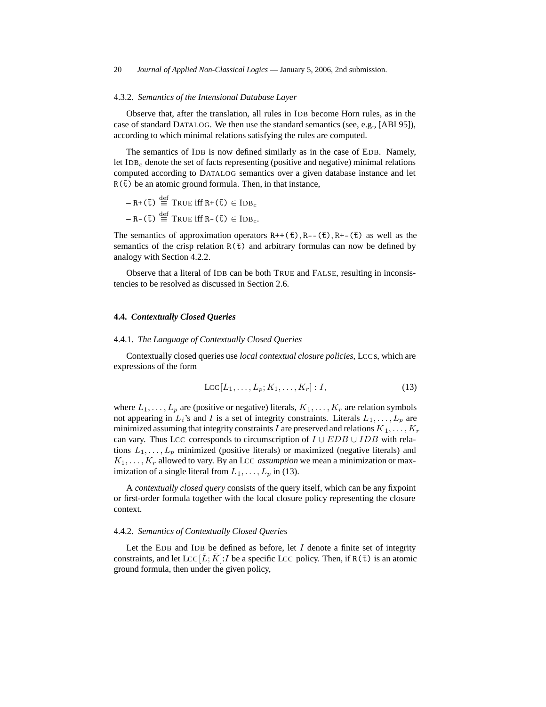# 4.3.2. *Semantics of the Intensional Database Layer*

Observe that, after the translation, all rules in IDB become Horn rules, as in the case of standard DATALOG. We then use the standard semantics (see, e.g., [ABI 95]), according to which minimal relations satisfying the rules are computed.

The semantics of IDB is now defined similarly as in the case of EDB. Namely, let IDB*<sup>c</sup>* denote the set of facts representing (positive and negative) minimal relations computed according to DATALOG semantics over a given database instance and let  $R(\bar{t})$  be an atomic ground formula. Then, in that instance,

$$
- R + (\overline{\tau}) \stackrel{\text{def}}{=} \text{TRUE iff } R + (\overline{\tau}) \in \text{IDB}_c
$$
  

$$
- R - (\overline{\tau}) \stackrel{\text{def}}{=} \text{TRUE iff } R - (\overline{\tau}) \in \text{IDB}_c.
$$

The semantics of approximation operators  $R++(\bar{t})$ ,  $R--(\bar{t})$ ,  $R+-(\bar{t})$  as well as the semantics of the crisp relation  $R(\bar{t})$  and arbitrary formulas can now be defined by analogy with Section 4.2.2.

Observe that a literal of IDB can be both TRUE and FALSE, resulting in inconsistencies to be resolved as discussed in Section 2.6.

#### **4.4.** *Contextually Closed Queries*

## 4.4.1. *The Language of Contextually Closed Queries*

Contextually closed queries use *local contextual closure policies*, LCCs, which are expressions of the form

$$
Lcc[L_1, \ldots, L_p; K_1, \ldots, K_r] : I,
$$
\n(13)

where  $L_1, \ldots, L_p$  are (positive or negative) literals,  $K_1, \ldots, K_r$  are relation symbols not appearing in  $L_i$ 's and I is a set of integrity constraints. Literals  $L_1, \ldots, L_p$  are minimized assuming that integrity constraints I are preserved and relations  $K_1, \ldots, K_r$ can vary. Thus LCC corresponds to circumscription of  $I \cup EDB \cup IDB$  with relations  $L_1, \ldots, L_p$  minimized (positive literals) or maximized (negative literals) and  $K_1, \ldots, K_r$  allowed to vary. By an LCC *assumption* we mean a minimization or maximization of a single literal from  $L_1, \ldots, L_p$  in (13).

A *contextually closed query* consists of the query itself, which can be any fixpoint or first-order formula together with the local closure policy representing the closure context.

#### 4.4.2. *Semantics of Contextually Closed Queries*

Let the EDB and IDB be defined as before, let  $I$  denote a finite set of integrity constraints, and let  $LCC[\overline{L}; \overline{K}];$  be a specific LCC policy. Then, if R( $\overline{t}$ ) is an atomic ground formula, then under the given policy,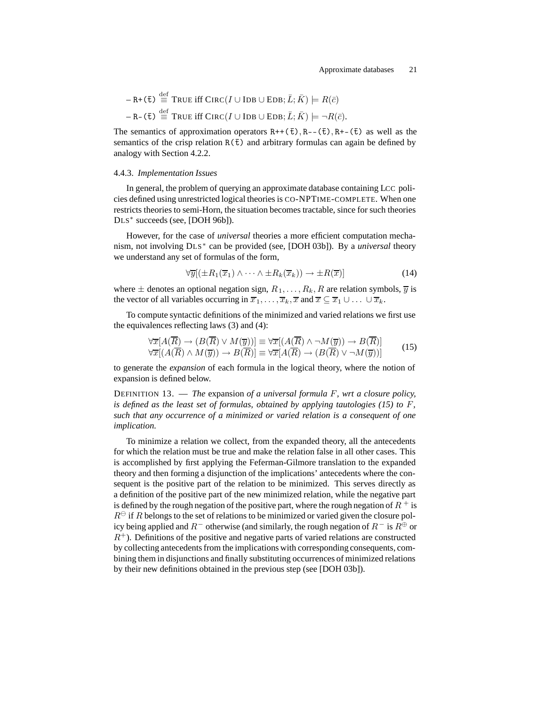$$
- R + (\overline{\tau}) \stackrel{\text{def}}{=} \text{TRUE iff } \text{CIRC}(I \cup \text{IDB} \cup \text{EDB}; \overline{L}; \overline{K}) \models R(\overline{c})
$$
  

$$
- R - (\overline{\tau}) \stackrel{\text{def}}{=} \text{TRUE iff } \text{CIRC}(I \cup \text{IDB} \cup \text{EDB}; \overline{L}; \overline{K}) \models \neg R(\overline{c}).
$$

The semantics of approximation operators  $R++(\overline{t})$ ,  $R--(\overline{t})$ ,  $R+-(\overline{t})$  as well as the semantics of the crisp relation  $R(\bar{t})$  and arbitrary formulas can again be defined by analogy with Section 4.2.2.

#### 4.4.3. *Implementation Issues*

In general, the problem of querying an approximate database containing LCC policies defined using unrestricted logical theories is CO-NPTIME-COMPLETE. When one restricts theories to semi-Horn, the situation becomes tractable, since for such theories DLS<sup>∗</sup> succeeds (see, [DOH 96b]).

However, for the case of *universal* theories a more efficient computation mechanism, not involving DLS<sup>∗</sup> can be provided (see, [DOH 03b]). By a *universal* theory we understand any set of formulas of the form,

$$
\forall \overline{y}[(\pm R_1(\overline{x}_1) \wedge \cdots \wedge \pm R_k(\overline{x}_k)) \rightarrow \pm R(\overline{x})]
$$
\n(14)

where  $\pm$  denotes an optional negation sign,  $R_1, \ldots, R_k, R$  are relation symbols,  $\overline{y}$  is the vector of all variables occurring in  $\overline{x}_1,\ldots,\overline{x}_k,\overline{x}$  and  $\overline{x} \subseteq \overline{x}_1 \cup \ldots \cup \overline{x}_k$ .

To compute syntactic definitions of the minimized and varied relations we first use the equivalences reflecting laws (3) and (4):

$$
\forall \overline{x}[A(\overline{R}) \to (B(\overline{R}) \lor M(\overline{y}))] \equiv \forall \overline{x}[(A(\overline{R}) \land \neg M(\overline{y})) \to B(\overline{R})]
$$
  

$$
\forall \overline{x}[(A(\overline{R}) \land M(\overline{y})) \to B(\overline{R})] \equiv \forall \overline{x}[A(\overline{R}) \to (B(\overline{R}) \lor \neg M(\overline{y}))]
$$
(15)

to generate the *expansion* of each formula in the logical theory, where the notion of expansion is defined below.

DEFINITION 13. — *The* expansion *of a universal formula* F*, wrt a closure policy, is defined as the least set of formulas, obtained by applying tautologies (15) to* F*, such that any occurrence of a minimized or varied relation is a consequent of one implication.*

To minimize a relation we collect, from the expanded theory, all the antecedents for which the relation must be true and make the relation false in all other cases. This is accomplished by first applying the Feferman-Gilmore translation to the expanded theory and then forming a disjunction of the implications' antecedents where the consequent is the positive part of the relation to be minimized. This serves directly as a definition of the positive part of the new minimized relation, while the negative part is defined by the rough negation of the positive part, where the rough negation of  $R^+$  is  $R^{\ominus}$  if R belongs to the set of relations to be minimized or varied given the closure policy being applied and  $R^-$  otherwise (and similarly, the rough negation of  $R^-$  is  $R^{\oplus}$  or  $R^+$ ). Definitions of the positive and negative parts of varied relations are constructed by collecting antecedents from the implications with corresponding consequents, combining them in disjunctions and finally substituting occurrences of minimized relations by their new definitions obtained in the previous step (see [DOH 03b]).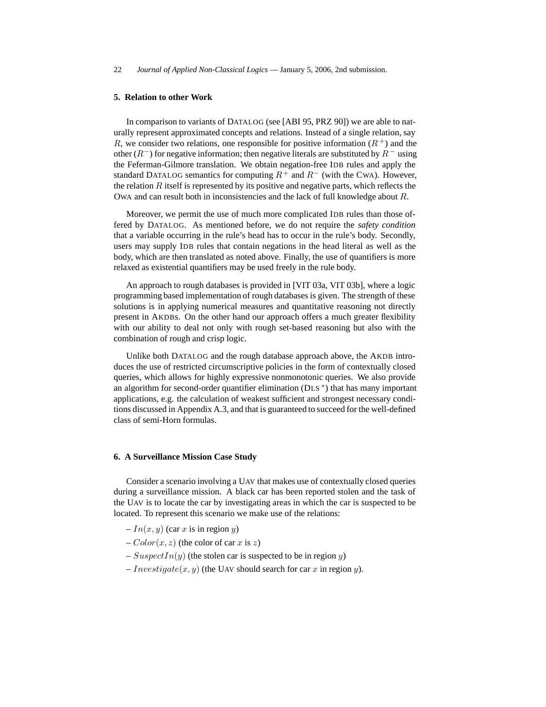## **5. Relation to other Work**

In comparison to variants of DATALOG (see [ABI 95, PRZ 90]) we are able to naturally represent approximated concepts and relations. Instead of a single relation, say R, we consider two relations, one responsible for positive information  $(R^+)$  and the other ( $R^-$ ) for negative information; then negative literals are substituted by  $R^-$  using the Feferman-Gilmore translation. We obtain negation-free IDB rules and apply the standard DATALOG semantics for computing  $R^+$  and  $R^-$  (with the CWA). However, the relation  $R$  itself is represented by its positive and negative parts, which reflects the OWA and can result both in inconsistencies and the lack of full knowledge about R.

Moreover, we permit the use of much more complicated IDB rules than those offered by DATALOG. As mentioned before, we do not require the *safety condition* that a variable occurring in the rule's head has to occur in the rule's body. Secondly, users may supply IDB rules that contain negations in the head literal as well as the body, which are then translated as noted above. Finally, the use of quantifiers is more relaxed as existential quantifiers may be used freely in the rule body.

An approach to rough databases is provided in [VIT 03a, VIT 03b], where a logic programming based implementation of rough databases is given. The strength of these solutions is in applying numerical measures and quantitative reasoning not directly present in AKDBs. On the other hand our approach offers a much greater flexibility with our ability to deal not only with rough set-based reasoning but also with the combination of rough and crisp logic.

Unlike both DATALOG and the rough database approach above, the AKDB introduces the use of restricted circumscriptive policies in the form of contextually closed queries, which allows for highly expressive nonmonotonic queries. We also provide an algorithm for second-order quantifier elimination (DLS <sup>∗</sup>) that has many important applications, e.g. the calculation of weakest sufficient and strongest necessary conditions discussed in Appendix A.3, and that is guaranteed to succeed for the well-defined class of semi-Horn formulas.

# **6. A Surveillance Mission Case Study**

Consider a scenario involving a UAV that makes use of contextually closed queries during a surveillance mission. A black car has been reported stolen and the task of the UAV is to locate the car by investigating areas in which the car is suspected to be located. To represent this scenario we make use of the relations:

- $-In(x, y)$  (car x is in region y)
- $-Color(x, z)$  (the color of car x is z)
- $-SuspectIn(y)$  (the stolen car is suspected to be in region y)
- $I_n = Investigate(x, y)$  (the UAV should search for car x in region y).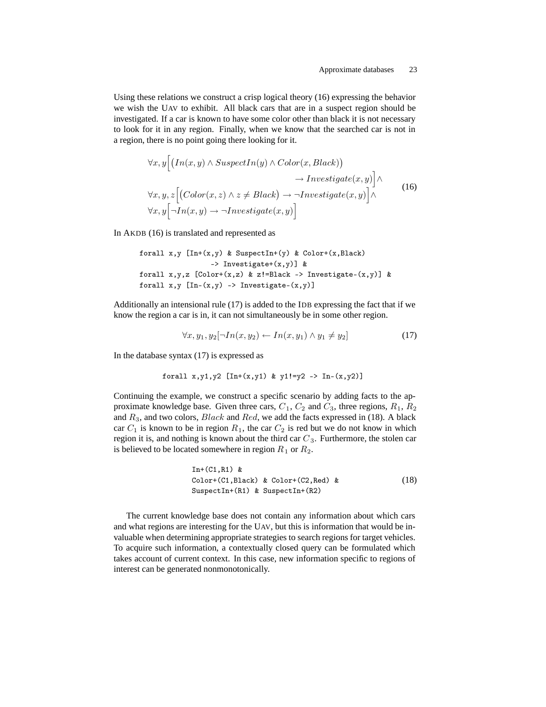Using these relations we construct a crisp logical theory (16) expressing the behavior we wish the UAV to exhibit. All black cars that are in a suspect region should be investigated. If a car is known to have some color other than black it is not necessary to look for it in any region. Finally, when we know that the searched car is not in a region, there is no point going there looking for it.

$$
\forall x, y \Big[ (In(x, y) \land SuspectIn(y) \land Color(x, Black))
$$
  
\n
$$
\rightarrow Investigate(x, y) \Big] \land
$$
  
\n
$$
\forall x, y, z \Big[ (Color(x, z) \land z \ne Black) \rightarrow \neg Investigate(x, y) \Big] \land
$$
  
\n
$$
\forall x, y \Big[ \neg In(x, y) \rightarrow \neg Investigate(x, y) \Big]
$$
 (16)

In AKDB (16) is translated and represented as

```
forall x,y [In+(x,y) & SuspectIn+(y) & Color+(x,Black)-> Investigate+(x,y)] &
forall x,y,z [Color+(x,z) & z!=Black -> Investigate-(x,y)] &
forall x,y [In-(x,y) -> Investigate-(x,y)]
```
Additionally an intensional rule (17) is added to the IDB expressing the fact that if we know the region a car is in, it can not simultaneously be in some other region.

$$
\forall x, y_1, y_2 [\neg In(x, y_2) \leftarrow In(x, y_1) \land y_1 \neq y_2]
$$
\n
$$
(17)
$$

In the database syntax (17) is expressed as

$$
for all x,y1,y2 [In+(x,y1) & y1!=y2 -> In-(x,y2)]
$$

Continuing the example, we construct a specific scenario by adding facts to the approximate knowledge base. Given three cars,  $C_1$ ,  $C_2$  and  $C_3$ , three regions,  $R_1$ ,  $R_2$ and  $R_3$ , and two colors,  $Black$  and  $Red$ , we add the facts expressed in (18). A black car  $C_1$  is known to be in region  $R_1$ , the car  $C_2$  is red but we do not know in which region it is, and nothing is known about the third car  $C_3$ . Furthermore, the stolen car is believed to be located somewhere in region  $R_1$  or  $R_2$ .

In+(C1,R1) & Color+(C1,Black) & Color+(C2,Red) & SuspectIn+(R1) & SuspectIn+(R2) (18)

The current knowledge base does not contain any information about which cars and what regions are interesting for the UAV, but this is information that would be invaluable when determining appropriate strategies to search regions for target vehicles. To acquire such information, a contextually closed query can be formulated which takes account of current context. In this case, new information specific to regions of interest can be generated nonmonotonically.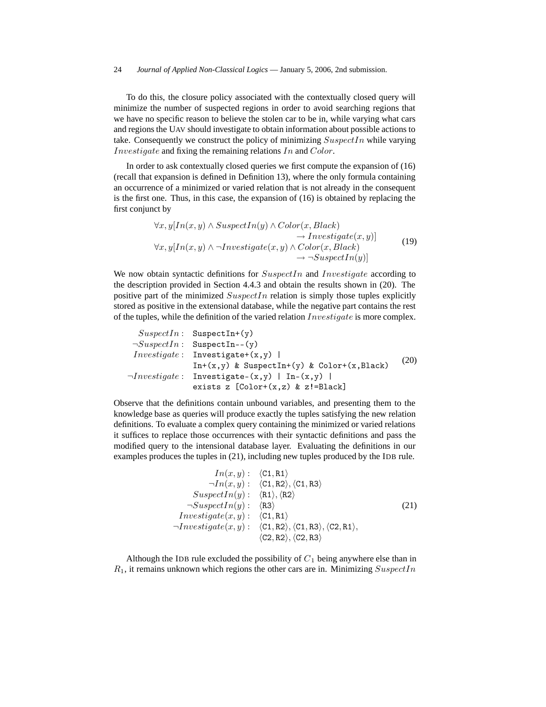To do this, the closure policy associated with the contextually closed query will minimize the number of suspected regions in order to avoid searching regions that we have no specific reason to believe the stolen car to be in, while varying what cars and regions the UAV should investigate to obtain information about possible actions to take. Consequently we construct the policy of minimizing  $SuspectIn$  while varying Investigate and fixing the remaining relations In and Color.

In order to ask contextually closed queries we first compute the expansion of (16) (recall that expansion is defined in Definition 13), where the only formula containing an occurrence of a minimized or varied relation that is not already in the consequent is the first one. Thus, in this case, the expansion of (16) is obtained by replacing the first conjunct by

$$
\forall x, y[In(x, y) \land SuspectIn(y) \land Color(x, Black) \rightarrow Investigate(x, y)]
$$
  
\n
$$
\forall x, y[In(x, y) \land \neg Investigate(x, y) \land Color(x, Black) \rightarrow \neg SuspectIn(y)]
$$
  
\n(19)

We now obtain syntactic definitions for  $SuspectIn$  and  $Investigate$  according to the description provided in Section 4.4.3 and obtain the results shown in (20). The positive part of the minimized  $SuspectIn$  relation is simply those tuples explicitly stored as positive in the extensional database, while the negative part contains the rest of the tuples, while the definition of the varied relation Investigate is more complex.

| $SuspectIn:$ SuspectIn+(y)                         |      |
|----------------------------------------------------|------|
| $\neg SuspectIn:$ SuspectIn--(y)                   |      |
| $Investigate: Investigate + (x, y)$                |      |
| $In+(x,y)$ & SuspectIn+(y) & Color+(x, Black)      | (20) |
| $\neg Investigate: Investigate-(x,y)   In-(x,y)  $ |      |
| exists z $[Color+(x,z) & z!=Black]$                |      |
|                                                    |      |

Observe that the definitions contain unbound variables, and presenting them to the knowledge base as queries will produce exactly the tuples satisfying the new relation definitions. To evaluate a complex query containing the minimized or varied relations it suffices to replace those occurrences with their syntactic definitions and pass the modified query to the intensional database layer. Evaluating the definitions in our examples produces the tuples in (21), including new tuples produced by the IDB rule.

$$
In(x, y): \langle C1, R1 \rangle
$$
  
\n
$$
\neg In(x, y): \langle C1, R2 \rangle, \langle C1, R3 \rangle
$$
  
\n
$$
SuspectIn(y): \langle R1 \rangle, \langle R2 \rangle
$$
  
\n
$$
\neg SuspectIn(y): \langle R3 \rangle
$$
  
\n
$$
Investigate(x, y): \langle C1, R1 \rangle
$$
  
\n
$$
\neg Investigate(x, y): \langle C1, R2 \rangle, \langle C1, R3 \rangle, \langle C2, R1 \rangle,
$$
  
\n
$$
\langle C2, R2 \rangle, \langle C2, R3 \rangle
$$
  
\n(21)

Although the IDB rule excluded the possibility of  $C_1$  being anywhere else than in  $R_1$ , it remains unknown which regions the other cars are in. Minimizing  $SuspectIn$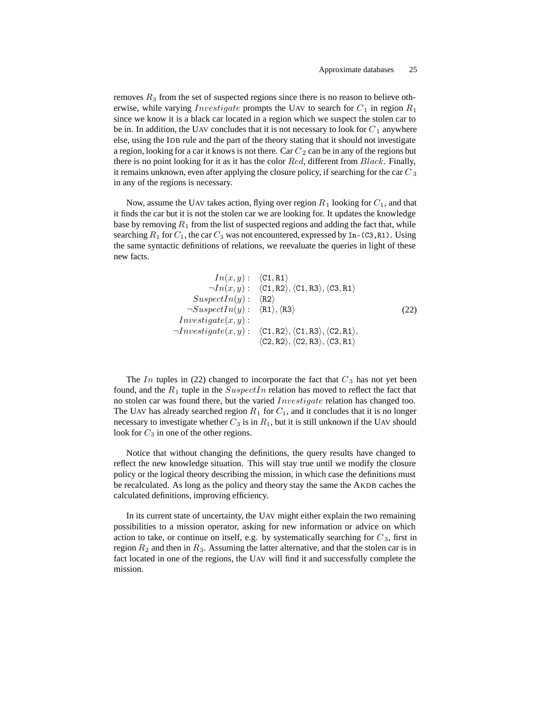removes  $R_3$  from the set of suspected regions since there is no reason to believe otherwise, while varying *Investigate* prompts the UAV to search for  $C_1$  in region  $R_1$ since we know it is a black car located in a region which we suspect the stolen car to be in. In addition, the UAV concludes that it is not necessary to look for  $C_1$  anywhere else, using the IDB rule and the part of the theory stating that it should not investigate a region, looking for a car it knows is not there. Car  $C_2$  can be in any of the regions but there is no point looking for it as it has the color Red, different from Black. Finally, it remains unknown, even after applying the closure policy, if searching for the car  $C_3$ in any of the regions is necessary.

Now, assume the UAV takes action, flying over region  $R_1$  looking for  $C_1$ , and that it finds the car but it is not the stolen car we are looking for. It updates the knowledge base by removing  $R_1$  from the list of suspected regions and adding the fact that, while searching  $R_1$  for  $C_1$ , the car  $C_3$  was not encountered, expressed by In-(C3,R1). Using the same syntactic definitions of relations, we reevaluate the queries in light of these new facts.

$$
In(x, y): \langle C1, R1 \rangle
$$
  
\n
$$
\neg In(x, y): \langle C1, R2 \rangle, \langle C1, R3 \rangle, \langle C3, R1 \rangle
$$
  
\n
$$
SuspectIn(y): \langle R2 \rangle
$$
  
\n
$$
\neg SuspectIn(y): \langle R1 \rangle, \langle R3 \rangle
$$
  
\n
$$
Investigate(x, y): \langle C1, R2 \rangle, \langle C1, R3 \rangle, \langle C2, R1 \rangle,
$$
  
\n
$$
\langle C2, R2 \rangle, \langle C2, R3 \rangle, \langle C3, R1 \rangle
$$
  
\n(22)

The In tuples in (22) changed to incorporate the fact that  $C_3$  has not yet been found, and the  $R_1$  tuple in the  $SuspectIn$  relation has moved to reflect the fact that no stolen car was found there, but the varied Investigate relation has changed too. The UAV has already searched region  $R_1$  for  $C_1$ , and it concludes that it is no longer necessary to investigate whether  $C_3$  is in  $R_1$ , but it is still unknown if the UAV should look for  $C_3$  in one of the other regions.

Notice that without changing the definitions, the query results have changed to reflect the new knowledge situation. This will stay true until we modify the closure policy or the logical theory describing the mission, in which case the definitions must be recalculated. As long as the policy and theory stay the same the AKDB caches the calculated definitions, improving efficiency.

In its current state of uncertainty, the UAV might either explain the two remaining possibilities to a mission operator, asking for new information or advice on which action to take, or continue on itself, e.g. by systematically searching for  $C_3$ , first in region  $R_2$  and then in  $R_3$ . Assuming the latter alternative, and that the stolen car is in fact located in one of the regions, the UAV will find it and successfully complete the mission.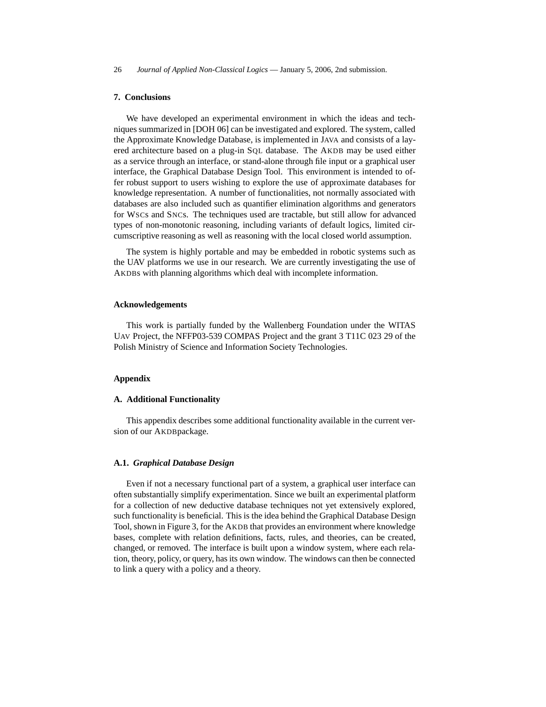26 *Journal of Applied Non-Classical Logics* — January 5, 2006, 2nd submission.

# **7. Conclusions**

We have developed an experimental environment in which the ideas and techniques summarized in [DOH 06] can be investigated and explored. The system, called the Approximate Knowledge Database, is implemented in JAVA and consists of a layered architecture based on a plug-in SQL database. The AKDB may be used either as a service through an interface, or stand-alone through file input or a graphical user interface, the Graphical Database Design Tool. This environment is intended to offer robust support to users wishing to explore the use of approximate databases for knowledge representation. A number of functionalities, not normally associated with databases are also included such as quantifier elimination algorithms and generators for WSCs and SNCs. The techniques used are tractable, but still allow for advanced types of non-monotonic reasoning, including variants of default logics, limited circumscriptive reasoning as well as reasoning with the local closed world assumption.

The system is highly portable and may be embedded in robotic systems such as the UAV platforms we use in our research. We are currently investigating the use of AKDBs with planning algorithms which deal with incomplete information.

## **Acknowledgements**

This work is partially funded by the Wallenberg Foundation under the WITAS UAV Project, the NFFP03-539 COMPAS Project and the grant 3 T11C 023 29 of the Polish Ministry of Science and Information Society Technologies.

## **Appendix**

#### **A. Additional Functionality**

This appendix describes some additional functionality available in the current version of our AKDBpackage.

#### **A.1.** *Graphical Database Design*

Even if not a necessary functional part of a system, a graphical user interface can often substantially simplify experimentation. Since we built an experimental platform for a collection of new deductive database techniques not yet extensively explored, such functionality is beneficial. This is the idea behind the Graphical Database Design Tool, shown in Figure 3, for the AKDB that provides an environment where knowledge bases, complete with relation definitions, facts, rules, and theories, can be created, changed, or removed. The interface is built upon a window system, where each relation, theory, policy, or query, has its own window. The windows can then be connected to link a query with a policy and a theory.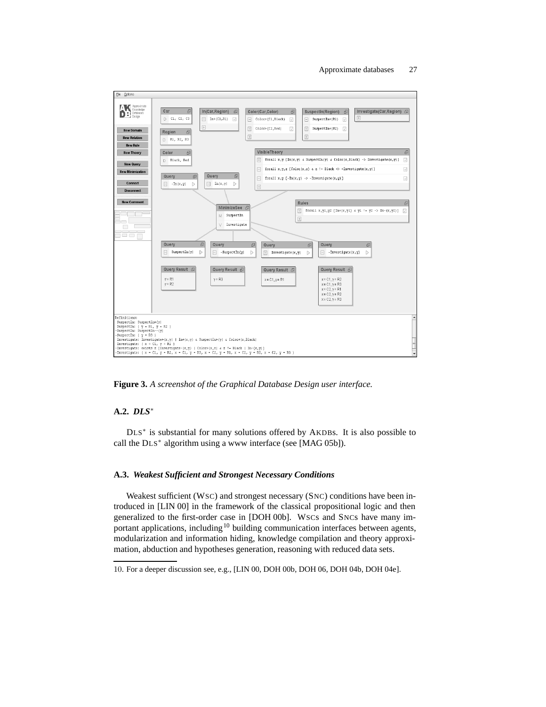

**Figure 3.** *A screenshot of the Graphical Database Design user interface.*

# **A.2.** *DLS*<sup>∗</sup>

DLS<sup>\*</sup> is substantial for many solutions offered by AKDBs. It is also possible to call the DLS<sup>∗</sup> algorithm using a www interface (see [MAG 05b]).

# **A.3.** *Weakest Sufficient and Strongest Necessary Conditions*

Weakest sufficient (WSC) and strongest necessary (SNC) conditions have been introduced in [LIN 00] in the framework of the classical propositional logic and then generalized to the first-order case in [DOH 00b]. WSCs and SNCs have many important applications, including<sup>10</sup> building communication interfaces between agents, modularization and information hiding, knowledge compilation and theory approximation, abduction and hypotheses generation, reasoning with reduced data sets.

<sup>10</sup>. For a deeper discussion see, e.g., [LIN 00, DOH 00b, DOH 06, DOH 04b, DOH 04e].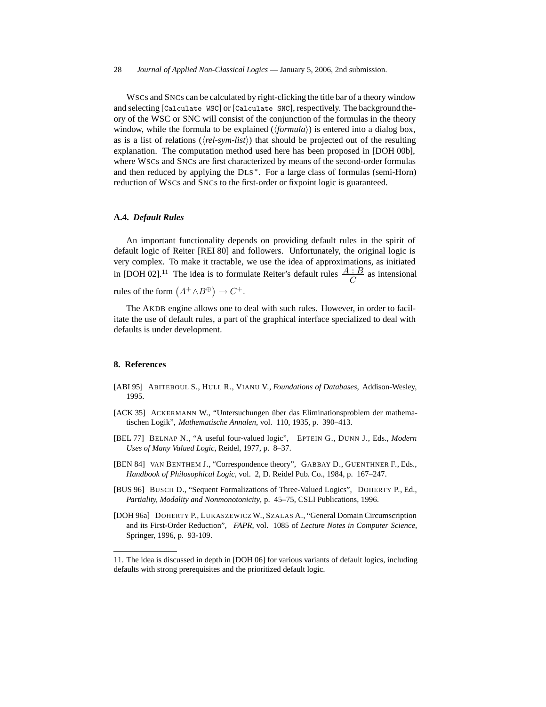WSCs and SNCs can be calculated by right-clicking the title bar of a theory window and selecting [Calculate WSC] or [Calculate SNC], respectively. The background theory of the WSC or SNC will consist of the conjunction of the formulas in the theory window, while the formula to be explained  $(\langle formula \rangle)$  is entered into a dialog box, as is a list of relations  $(\langle rel-sym-list \rangle)$  that should be projected out of the resulting explanation. The computation method used here has been proposed in [DOH 00b], where WSCs and SNCs are first characterized by means of the second-order formulas and then reduced by applying the DLS<sup>\*</sup>. For a large class of formulas (semi-Horn) reduction of WSCs and SNCs to the first-order or fixpoint logic is guaranteed.

# **A.4.** *Default Rules*

An important functionality depends on providing default rules in the spirit of default logic of Reiter [REI 80] and followers. Unfortunately, the original logic is very complex. To make it tractable, we use the idea of approximations, as initiated in [DOH 02].<sup>11</sup> The idea is to formulate Reiter's default rules  $\frac{A:B}{C}$  as intensional rules of the form  $(A^+ \wedge B^{\oplus}) \rightarrow C^+$ .

The AKDB engine allows one to deal with such rules. However, in order to facilitate the use of default rules, a part of the graphical interface specialized to deal with defaults is under development.

#### **8. References**

- [ABI 95] ABITEBOUL S., HULL R., VIANU V., *Foundations of Databases*, Addison-Wesley, 1995.
- [ACK 35] ACKERMANN W., "Untersuchungen über das Eliminationsproblem der mathematischen Logik", *Mathematische Annalen*, vol. 110, 1935, p. 390–413.
- [BEL 77] BELNAP N., "A useful four-valued logic", EPTEIN G., DUNN J., Eds., *Modern Uses of Many Valued Logic*, Reidel, 1977, p. 8–37.
- [BEN 84] VAN BENTHEM J., "Correspondence theory", GABBAY D., GUENTHNER F., Eds., *Handbook of Philosophical Logic*, vol. 2, D. Reidel Pub. Co., 1984, p. 167–247.
- [BUS 96] BUSCH D., "Sequent Formalizations of Three-Valued Logics", DOHERTY P., Ed., *Partiality, Modality and Nonmonotonicity*, p. 45–75, CSLI Publications, 1996.
- [DOH 96a] DOHERTY P., LUKASZEWICZ W., SZALAS A., "General Domain Circumscription and its First-Order Reduction", *FAPR*, vol. 1085 of *Lecture Notes in Computer Science*, Springer, 1996, p. 93-109.

<sup>11</sup>. The idea is discussed in depth in [DOH 06] for various variants of default logics, including defaults with strong prerequisites and the prioritized default logic.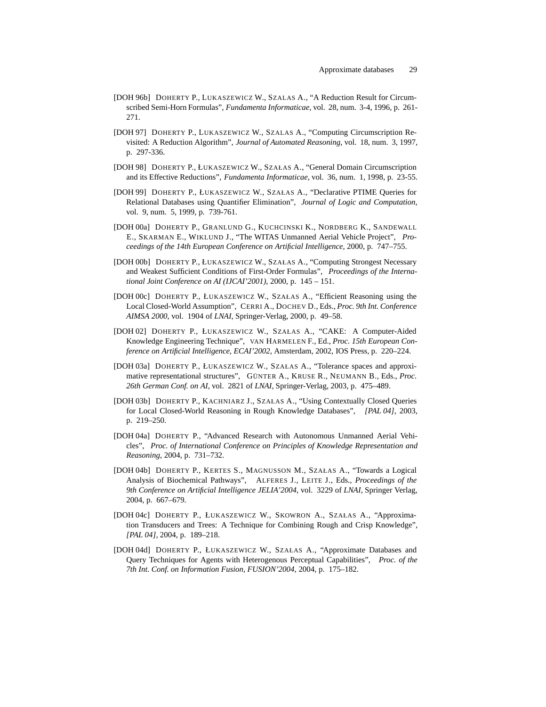- [DOH 96b] DOHERTY P., LUKASZEWICZ W., SZALAS A., "A Reduction Result for Circumscribed Semi-Horn Formulas", *Fundamenta Informaticae*, vol. 28, num. 3-4, 1996, p. 261- 271.
- [DOH 97] DOHERTY P., LUKASZEWICZ W., SZALAS A., "Computing Circumscription Revisited: A Reduction Algorithm", *Journal of Automated Reasoning*, vol. 18, num. 3, 1997, p. 297-336.
- [DOH 98] DOHERTY P., ŁUKASZEWICZ W., SZAŁAS A., "General Domain Circumscription and its Effective Reductions", *Fundamenta Informaticae*, vol. 36, num. 1, 1998, p. 23-55.
- [DOH 99] DOHERTY P., ŁUKASZEWICZ W., SZAŁAS A., "Declarative PTIME Queries for Relational Databases using Quantifier Elimination", *Journal of Logic and Computation*, vol. 9, num. 5, 1999, p. 739-761.
- [DOH 00a] DOHERTY P., GRANLUND G., KUCHCINSKI K., NORDBERG K., SANDEWALL E., SKARMAN E., WIKLUND J., "The WITAS Unmanned Aerial Vehicle Project", *Proceedings of the 14th European Conference on Artificial Intelligence*, 2000, p. 747–755.
- [DOH 00b] DOHERTY P., ŁUKASZEWICZ W., SZAŁAS A., "Computing Strongest Necessary and Weakest Sufficient Conditions of First-Order Formulas", *Proceedings of the International Joint Conference on AI (IJCAI'2001)*, 2000, p. 145 – 151.
- [DOH 00c] DOHERTY P., ŁUKASZEWICZ W., SZAŁAS A., "Efficient Reasoning using the Local Closed-World Assumption", CERRI A., DOCHEV D., Eds., *Proc. 9th Int. Conference AIMSA 2000*, vol. 1904 of *LNAI*, Springer-Verlag, 2000, p. 49–58.
- [DOH 02] DOHERTY P., ŁUKASZEWICZ W., SZAŁAS A., "CAKE: A Computer-Aided Knowledge Engineering Technique", VAN HARMELEN F., Ed., *Proc. 15th European Conference on Artificial Intelligence, ECAI'2002*, Amsterdam, 2002, IOS Press, p. 220–224.
- [DOH 03a] DOHERTY P., ŁUKASZEWICZ W., SZAŁAS A., "Tolerance spaces and approximative representational structures", GÜNTER A., KRUSE R., NEUMANN B., Eds., *Proc. 26th German Conf. on AI*, vol. 2821 of *LNAI*, Springer-Verlag, 2003, p. 475–489.
- [DOH 03b] DOHERTY P., KACHNIARZ J., SZAŁAS A., "Using Contextually Closed Queries for Local Closed-World Reasoning in Rough Knowledge Databases", *[PAL 04]*, 2003, p. 219–250.
- [DOH 04a] DOHERTY P., "Advanced Research with Autonomous Unmanned Aerial Vehicles", *Proc. of International Conference on Principles of Knowledge Representation and Reasoning*, 2004, p. 731–732.
- [DOH 04b] DOHERTY P., KERTES S., MAGNUSSON M., SZAŁAS A., "Towards a Logical Analysis of Biochemical Pathways", ALFERES J., LEITE J., Eds., *Proceedings of the 9th Conference on Artificial Intelligence JELIA'2004*, vol. 3229 of *LNAI*, Springer Verlag, 2004, p. 667–679.
- [DOH 04c] DOHERTY P., ŁUKASZEWICZ W., SKOWRON A., SZAŁAS A., "Approximation Transducers and Trees: A Technique for Combining Rough and Crisp Knowledge", *[PAL 04]*, 2004, p. 189–218.
- [DOH 04d] DOHERTY P., ŁUKASZEWICZ W., SZAŁAS A., "Approximate Databases and Query Techniques for Agents with Heterogenous Perceptual Capabilities", *Proc. of the 7th Int. Conf. on Information Fusion, FUSION'2004*, 2004, p. 175–182.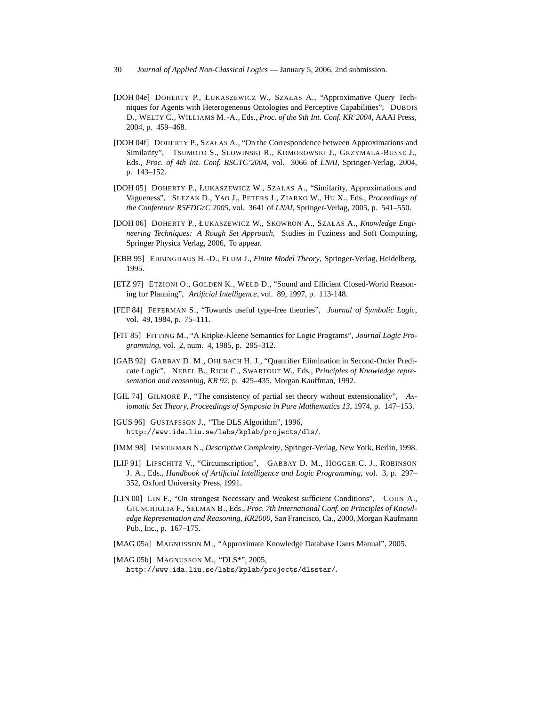30 *Journal of Applied Non-Classical Logics* — January 5, 2006, 2nd submission.

- [DOH 04e] DOHERTY P., ŁUKASZEWICZ W., SZAŁAS A., "Approximative Query Techniques for Agents with Heterogeneous Ontologies and Perceptive Capabilities", DUBOIS D., WELTY C., WILLIAMS M.-A., Eds., *Proc. of the 9th Int. Conf. KR'2004*, AAAI Press, 2004, p. 459–468.
- [DOH 04f] DOHERTY P., SZAŁAS A., "On the Correspondence between Approximations and Similarity", TSUMOTO S., SLOWINSKI R., KOMOROWSKI J., GRZYMALA-BUSSE J., Eds., *Proc. of 4th Int. Conf. RSCTC'2004*, vol. 3066 of *LNAI*, Springer-Verlag, 2004, p. 143–152.
- [DOH 05] DOHERTY P., ŁUKASZEWICZ W., SZAŁAS A., "Similarity, Approximations and Vagueness", SLEZAK D., YAO J., PETERS J., ZIARKO W., HU X., Eds., *Proceedings of the Conference RSFDGrC 2005*, vol. 3641 of *LNAI*, Springer-Verlag, 2005, p. 541–550.
- [DOH 06] DOHERTY P., ŁUKASZEWICZ W., SKOWRON A., SZAŁAS A., *Knowledge Engineering Techniques: A Rough Set Approach*, Studies in Fuziness and Soft Computing, Springer Physica Verlag, 2006, To appear.
- [EBB 95] EBBINGHAUS H.-D., FLUM J., *Finite Model Theory*, Springer-Verlag, Heidelberg, 1995.
- [ETZ 97] ETZIONI O., GOLDEN K., WELD D., "Sound and Efficient Closed-World Reasoning for Planning", *Artificial Intelligence*, vol. 89, 1997, p. 113-148.
- [FEF 84] FEFERMAN S., "Towards useful type-free theories", *Journal of Symbolic Logic*, vol. 49, 1984, p. 75–111.
- [FIT 85] FITTING M., "A Kripke-Kleene Semantics for Logic Programs", *Journal Logic Programming*, vol. 2, num. 4, 1985, p. 295–312.
- [GAB 92] GABBAY D. M., OHLBACH H. J., "Quantifier Elimination in Second-Order Predicate Logic", NEBEL B., RICH C., SWARTOUT W., Eds., *Principles of Knowledge representation and reasoning, KR 92*, p. 425–435, Morgan Kauffman, 1992.
- [GIL 74] GILMORE P., "The consistency of partial set theory without extensionality", *Axiomatic Set Theory, Proceedings of Symposia in Pure Mathematics 13*, 1974, p. 147–153.
- [GUS 96] GUSTAFSSON J., "The DLS Algorithm", 1996, http://www.ida.liu.se/labs/kplab/projects/dls/.
- [IMM 98] IMMERMAN N., *Descriptive Complexity*, Springer-Verlag, New York, Berlin, 1998.
- [LIF 91] LIFSCHITZ V., "Circumscription", GABBAY D. M., HOGGER C. J., ROBINSON J. A., Eds., *Handbook of Artificial Intelligence and Logic Programming*, vol. 3, p. 297– 352, Oxford University Press, 1991.
- [LIN 00] LIN F., "On strongest Necessary and Weakest sufficient Conditions", COHN A., GIUNCHIGLIA F., SELMAN B., Eds., *Proc. 7th International Conf. on Principles of Knowledge Representation and Reasoning, KR2000*, San Francisco, Ca., 2000, Morgan Kaufmann Pub., Inc., p. 167–175.
- [MAG 05a] MAGNUSSON M., "Approximate Knowledge Database Users Manual", 2005.
- [MAG 05b] MAGNUSSON M., "DLS\*", 2005, http://www.ida.liu.se/labs/kplab/projects/dlsstar/.